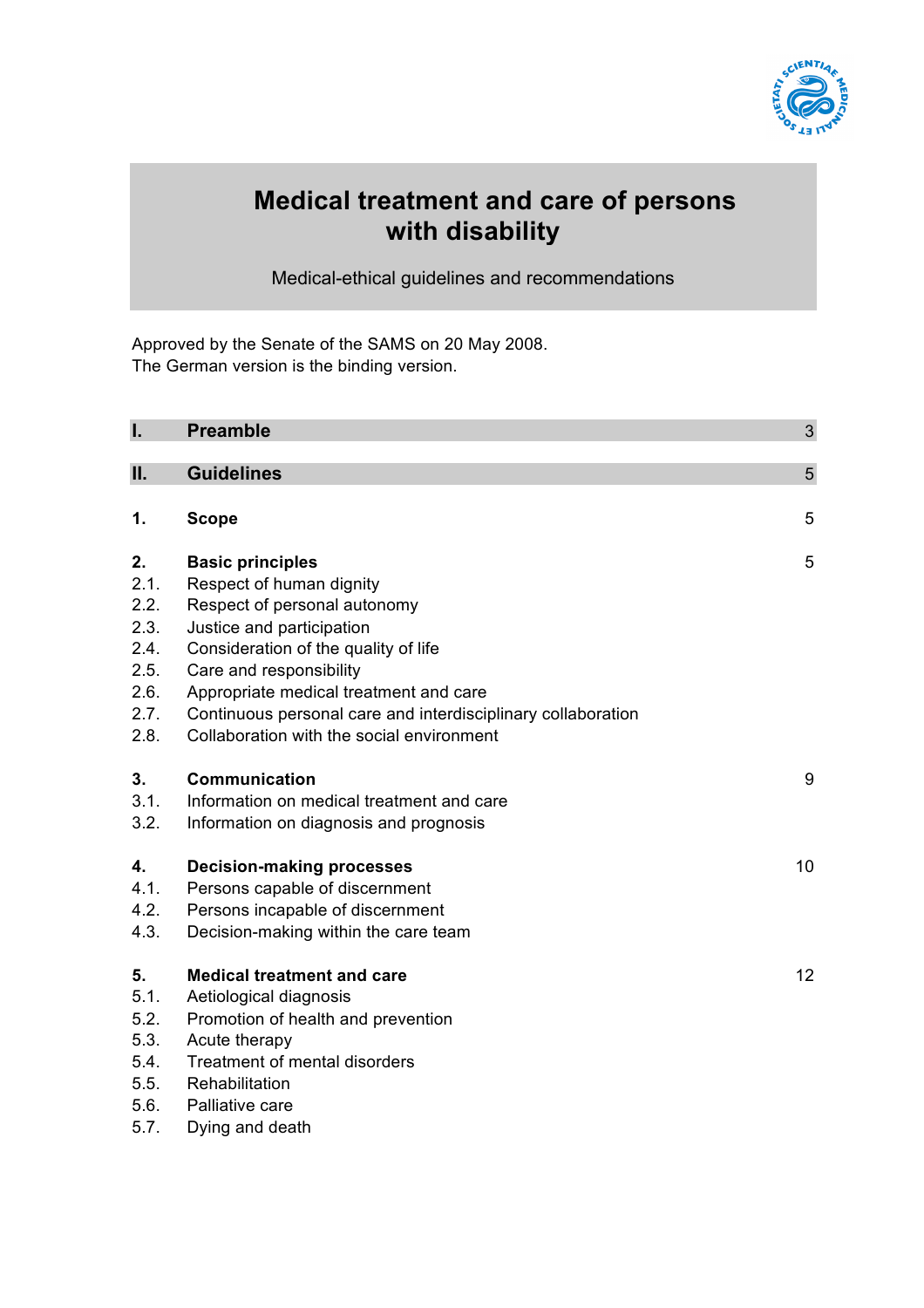

# **Medical treatment and care of persons with disability**

Medical-ethical guidelines and recommendations

Approved by the Senate of the SAMS on 20 May 2008. The German version is the binding version.

| Ī.   | <b>Preamble</b>                                              | 3               |
|------|--------------------------------------------------------------|-----------------|
|      |                                                              |                 |
| Π.   | <b>Guidelines</b>                                            | 5               |
| 1.   | <b>Scope</b>                                                 | 5               |
|      |                                                              |                 |
| 2.   | <b>Basic principles</b>                                      | 5               |
| 2.1. | Respect of human dignity                                     |                 |
| 2.2. | Respect of personal autonomy                                 |                 |
| 2.3. | Justice and participation                                    |                 |
| 2.4. | Consideration of the quality of life                         |                 |
| 2.5. | Care and responsibility                                      |                 |
| 2.6. | Appropriate medical treatment and care                       |                 |
| 2.7. | Continuous personal care and interdisciplinary collaboration |                 |
| 2.8. | Collaboration with the social environment                    |                 |
| 3.   | <b>Communication</b>                                         | 9               |
| 3.1. | Information on medical treatment and care                    |                 |
| 3.2. | Information on diagnosis and prognosis                       |                 |
| 4.   | <b>Decision-making processes</b>                             | 10              |
| 4.1. | Persons capable of discernment                               |                 |
| 4.2. | Persons incapable of discernment                             |                 |
| 4.3. | Decision-making within the care team                         |                 |
| 5.   | <b>Medical treatment and care</b>                            | 12 <sup>2</sup> |
| 5.1. | Aetiological diagnosis                                       |                 |
| 5.2. | Promotion of health and prevention                           |                 |
| 5.3. | Acute therapy                                                |                 |
| 5.4. | <b>Treatment of mental disorders</b>                         |                 |
| 5.5. | Rehabilitation                                               |                 |
| 5.6. | Palliative care                                              |                 |
| 5.7. | Dying and death                                              |                 |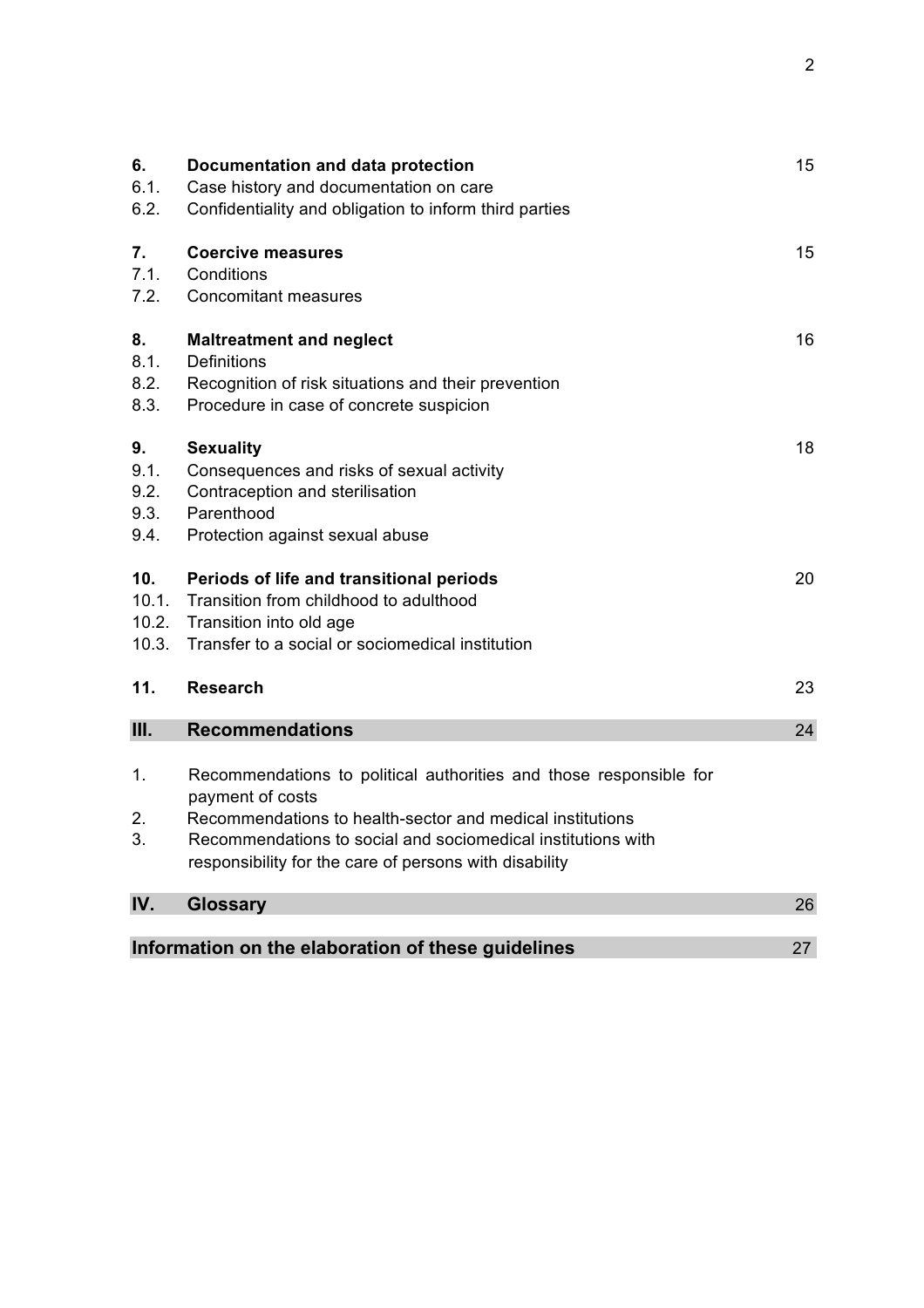| 6.<br>6.1.<br>6.2.                                       | Documentation and data protection<br>Case history and documentation on care<br>Confidentiality and obligation to inform third parties                                                                                                                                         | 15 |
|----------------------------------------------------------|-------------------------------------------------------------------------------------------------------------------------------------------------------------------------------------------------------------------------------------------------------------------------------|----|
| 7.<br>7.1.<br>7.2.                                       | <b>Coercive measures</b><br>Conditions<br><b>Concomitant measures</b>                                                                                                                                                                                                         | 15 |
| 8.<br>8.1.<br>8.2.<br>8.3.                               | <b>Maltreatment and neglect</b><br><b>Definitions</b><br>Recognition of risk situations and their prevention<br>Procedure in case of concrete suspicion                                                                                                                       | 16 |
| 9.<br>9.1.<br>9.2.<br>9.3.<br>9.4.                       | <b>Sexuality</b><br>Consequences and risks of sexual activity<br>Contraception and sterilisation<br>Parenthood<br>Protection against sexual abuse                                                                                                                             | 18 |
| 10.<br>10.1.<br>10.2.<br>10.3.                           | Periods of life and transitional periods<br>Transition from childhood to adulthood<br>Transition into old age<br>Transfer to a social or sociomedical institution                                                                                                             | 20 |
| 11.                                                      | <b>Research</b>                                                                                                                                                                                                                                                               | 23 |
| III.                                                     | <b>Recommendations</b>                                                                                                                                                                                                                                                        | 24 |
| 1.<br>2.<br>3.                                           | Recommendations to political authorities and those responsible for<br>payment of costs<br>Recommendations to health-sector and medical institutions<br>Recommendations to social and sociomedical institutions with<br>responsibility for the care of persons with disability |    |
| IV.                                                      | <b>Glossary</b>                                                                                                                                                                                                                                                               | 26 |
| Information on the elaboration of these guidelines<br>27 |                                                                                                                                                                                                                                                                               |    |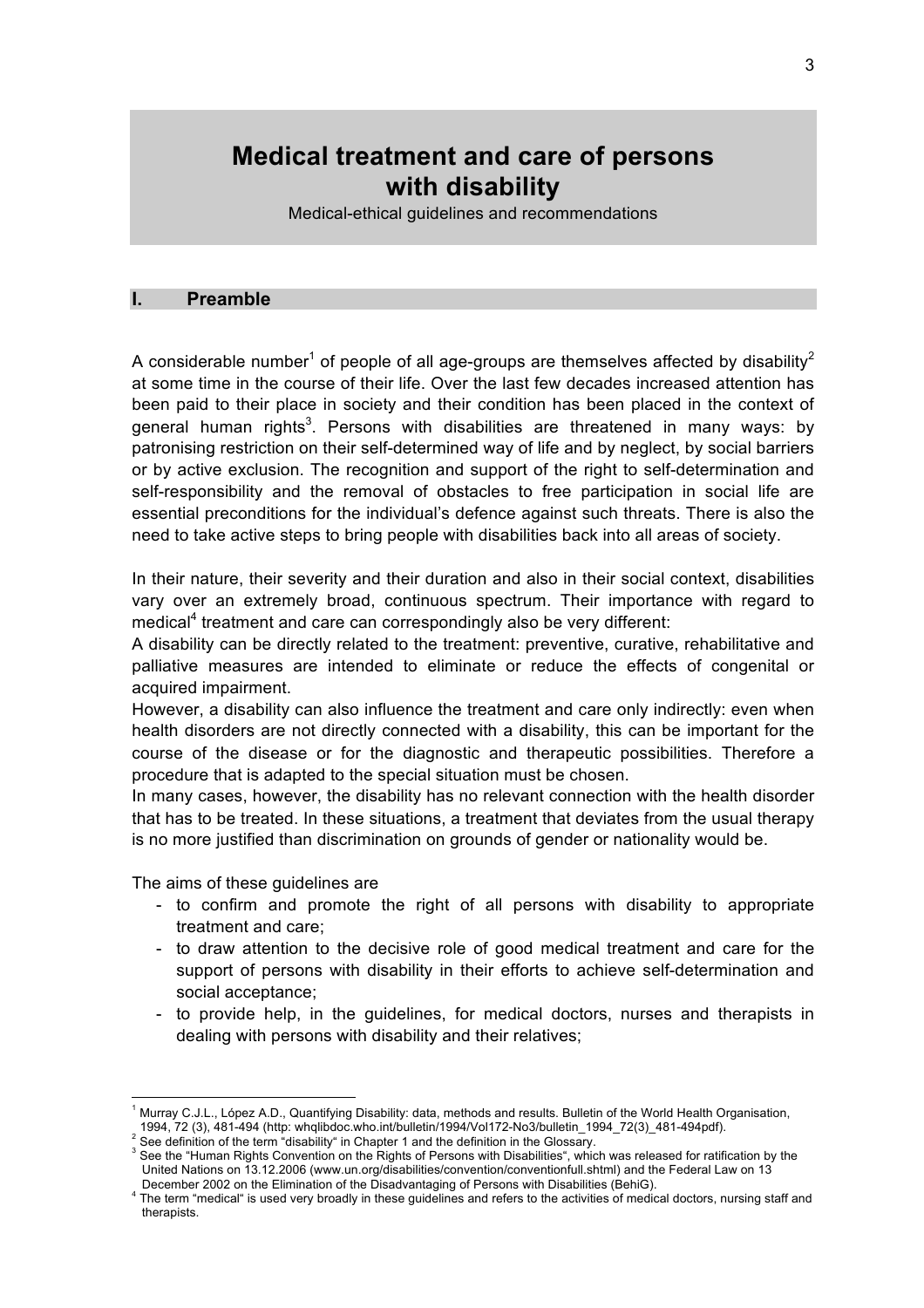# **Medical treatment and care of persons with disability**

Medical-ethical guidelines and recommendations

#### **I. Preamble**

A considerable number<sup>1</sup> of people of all age-groups are themselves affected by disability<sup>2</sup> at some time in the course of their life. Over the last few decades increased attention has been paid to their place in society and their condition has been placed in the context of general human rights<sup>3</sup>. Persons with disabilities are threatened in many ways: by patronising restriction on their self-determined way of life and by neglect, by social barriers or by active exclusion. The recognition and support of the right to self-determination and self-responsibility and the removal of obstacles to free participation in social life are essential preconditions for the individual's defence against such threats. There is also the need to take active steps to bring people with disabilities back into all areas of society.

In their nature, their severity and their duration and also in their social context, disabilities vary over an extremely broad, continuous spectrum. Their importance with regard to medical<sup>4</sup> treatment and care can correspondingly also be very different:

A disability can be directly related to the treatment: preventive, curative, rehabilitative and palliative measures are intended to eliminate or reduce the effects of congenital or acquired impairment.

However, a disability can also influence the treatment and care only indirectly: even when health disorders are not directly connected with a disability, this can be important for the course of the disease or for the diagnostic and therapeutic possibilities. Therefore a procedure that is adapted to the special situation must be chosen.

In many cases, however, the disability has no relevant connection with the health disorder that has to be treated. In these situations, a treatment that deviates from the usual therapy is no more justified than discrimination on grounds of gender or nationality would be.

The aims of these guidelines are

- to confirm and promote the right of all persons with disability to appropriate treatment and care;
- to draw attention to the decisive role of good medical treatment and care for the support of persons with disability in their efforts to achieve self-determination and social acceptance;
- to provide help, in the guidelines, for medical doctors, nurses and therapists in dealing with persons with disability and their relatives;

1994, 72 (3), 481-494 (http: whqlibdoc.who.int/bulletin/1994/Vol172-No3/bulletin\_1994\_72(3)\_481-494pdf). <sup>2</sup>

 $\overline{1}$ Murray C.J.L., López A.D., Quantifying Disability: data, methods and results. Bulletin of the World Health Organisation,

See definition of the term "disability" in Chapter 1 and the definition in the Glossary.

See the "Human Rights Convention on the Rights of Persons with Disabilities", which was released for ratification by the United Nations on 13.12.2006 (www.un.org/disabilities/convention/conventionfull.shtml) and the Federal Law on 13 December 2002 on the Elimination of the Disadvantaging of Persons with Disabilities (BehiG). 4

The term "medical" is used very broadly in these guidelines and refers to the activities of medical doctors, nursing staff and therapists.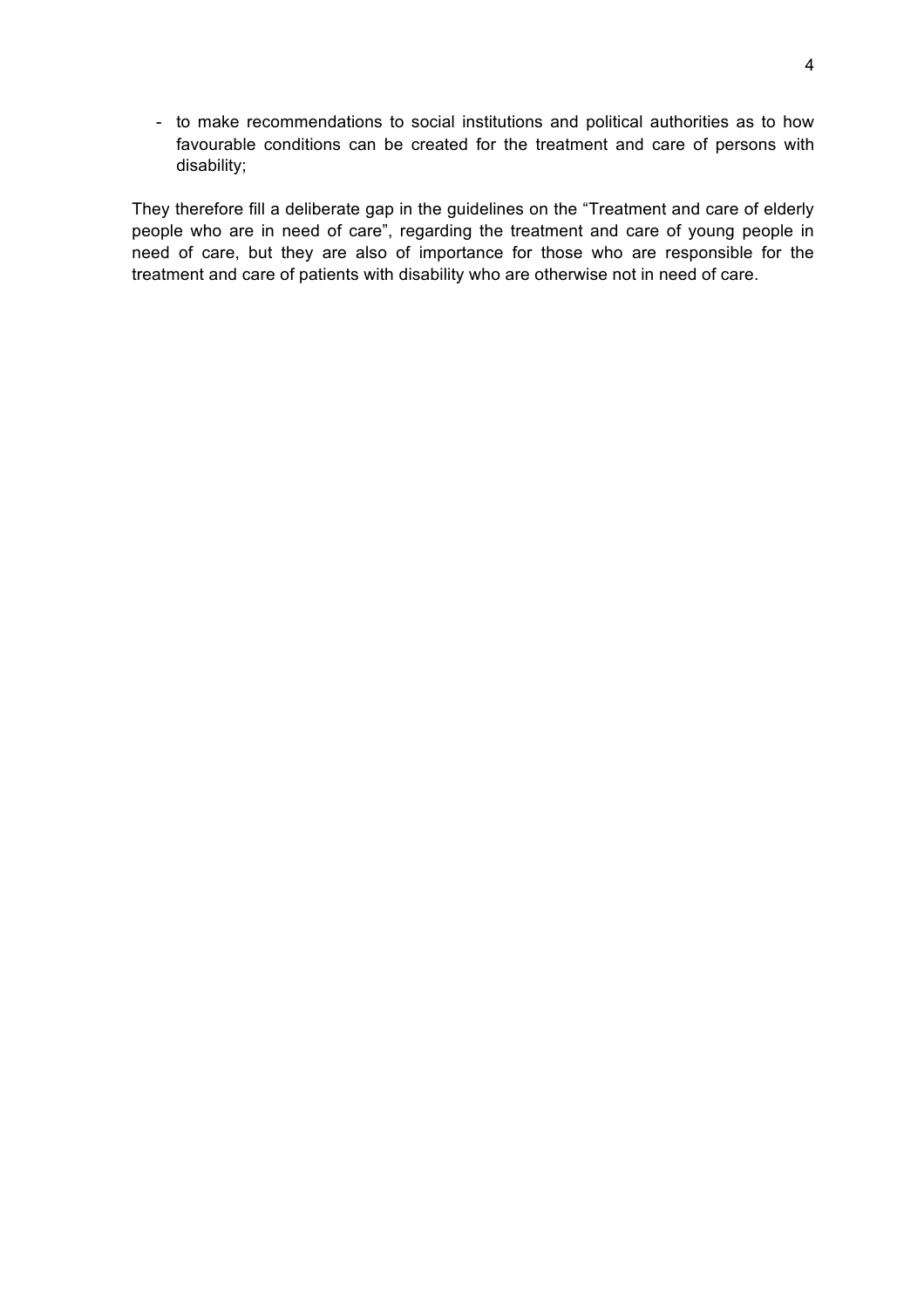- to make recommendations to social institutions and political authorities as to how favourable conditions can be created for the treatment and care of persons with disability;

They therefore fill a deliberate gap in the guidelines on the "Treatment and care of elderly people who are in need of care", regarding the treatment and care of young people in need of care, but they are also of importance for those who are responsible for the treatment and care of patients with disability who are otherwise not in need of care.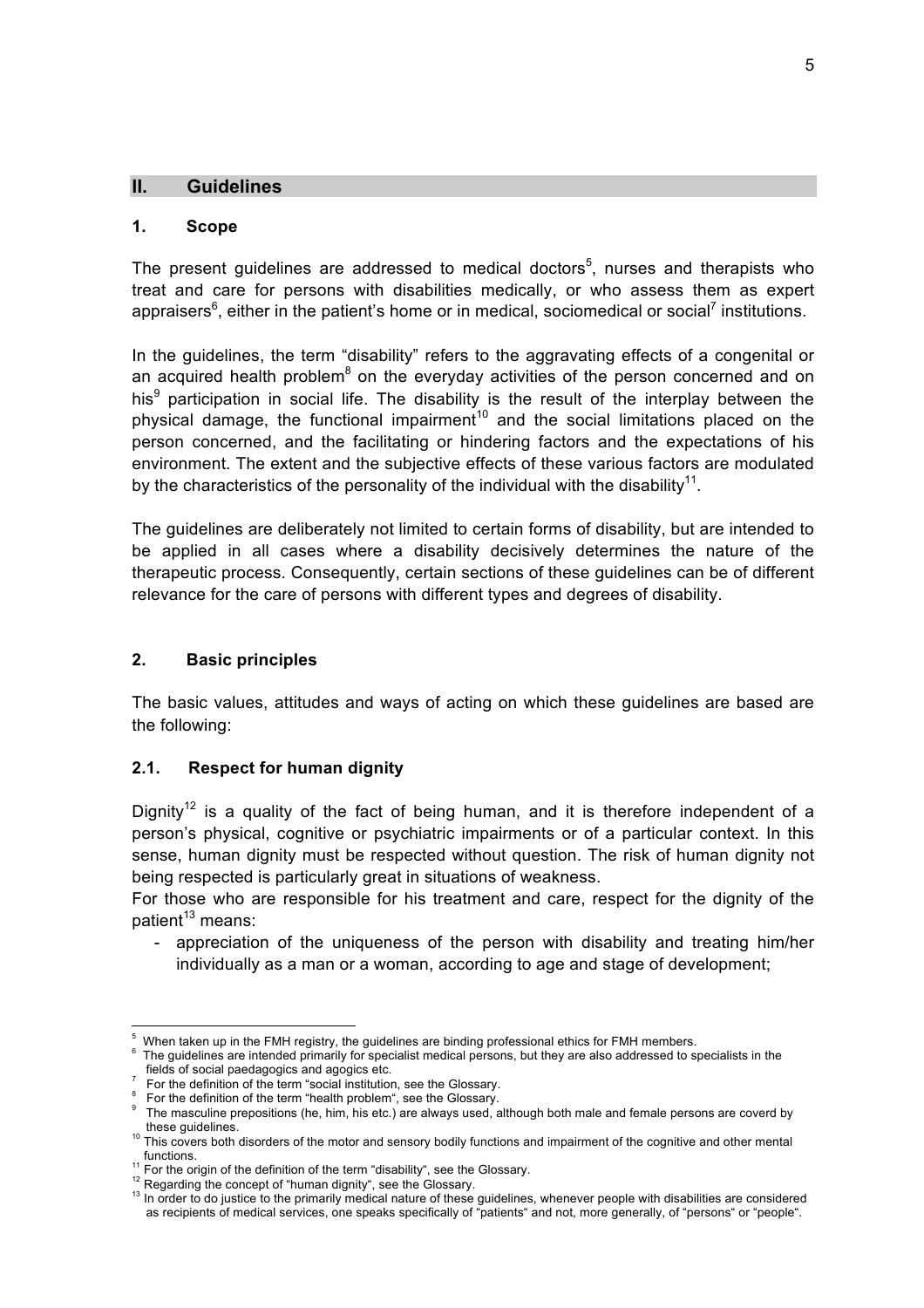#### **II. Guidelines**

#### **1. Scope**

The present guidelines are addressed to medical doctors<sup>5</sup>, nurses and therapists who treat and care for persons with disabilities medically, or who assess them as expert appraisers<sup>6</sup>, either in the patient's home or in medical, sociomedical or social<sup>7</sup> institutions.

In the guidelines, the term "disability" refers to the aggravating effects of a congenital or an acquired health problem<sup>8</sup> on the everyday activities of the person concerned and on his<sup>9</sup> participation in social life. The disability is the result of the interplay between the physical damage, the functional impairment<sup>10</sup> and the social limitations placed on the person concerned, and the facilitating or hindering factors and the expectations of his environment. The extent and the subjective effects of these various factors are modulated by the characteristics of the personality of the individual with the disability<sup>11</sup>.

The guidelines are deliberately not limited to certain forms of disability, but are intended to be applied in all cases where a disability decisively determines the nature of the therapeutic process. Consequently, certain sections of these guidelines can be of different relevance for the care of persons with different types and degrees of disability.

#### **2. Basic principles**

The basic values, attitudes and ways of acting on which these guidelines are based are the following:

#### **2.1. Respect for human dignity**

Dianity<sup>12</sup> is a quality of the fact of being human, and it is therefore independent of a person's physical, cognitive or psychiatric impairments or of a particular context. In this sense, human dignity must be respected without question. The risk of human dignity not being respected is particularly great in situations of weakness.

For those who are responsible for his treatment and care, respect for the dignity of the  $patient<sup>13</sup>$  means:

- appreciation of the uniqueness of the person with disability and treating him/her individually as a man or a woman, according to age and stage of development;

 <sup>5</sup> When taken up in the FMH registry, the guidelines are binding professional ethics for FMH members.

<sup>6</sup> The guidelines are intended primarily for specialist medical persons, but they are also addressed to specialists in the fields of social paedagogics and agogics etc. <sup>7</sup>

For the definition of the term "social institution, see the Glossary.

<sup>&</sup>lt;sup>8</sup> For the definition of the term "health problem", see the Glossary.

For the definition of the term in the term in the setc.) are always used, although both male and female persons are coverd by<br>these quidelines

<sup>&</sup>lt;sup>10</sup> This covers both disorders of the motor and sensory bodily functions and impairment of the cognitive and other mental

functions.<br><sup>11</sup> For the origin of the definition of the term "disability", see the Glossary.<br><sup>12</sup> Regarding the concept of "human dignity", see the Glossary.<br><sup>13</sup> In order to do justice to the primarily medical nature of as recipients of medical services, one speaks specifically of "patients" and not, more generally, of "persons" or "people".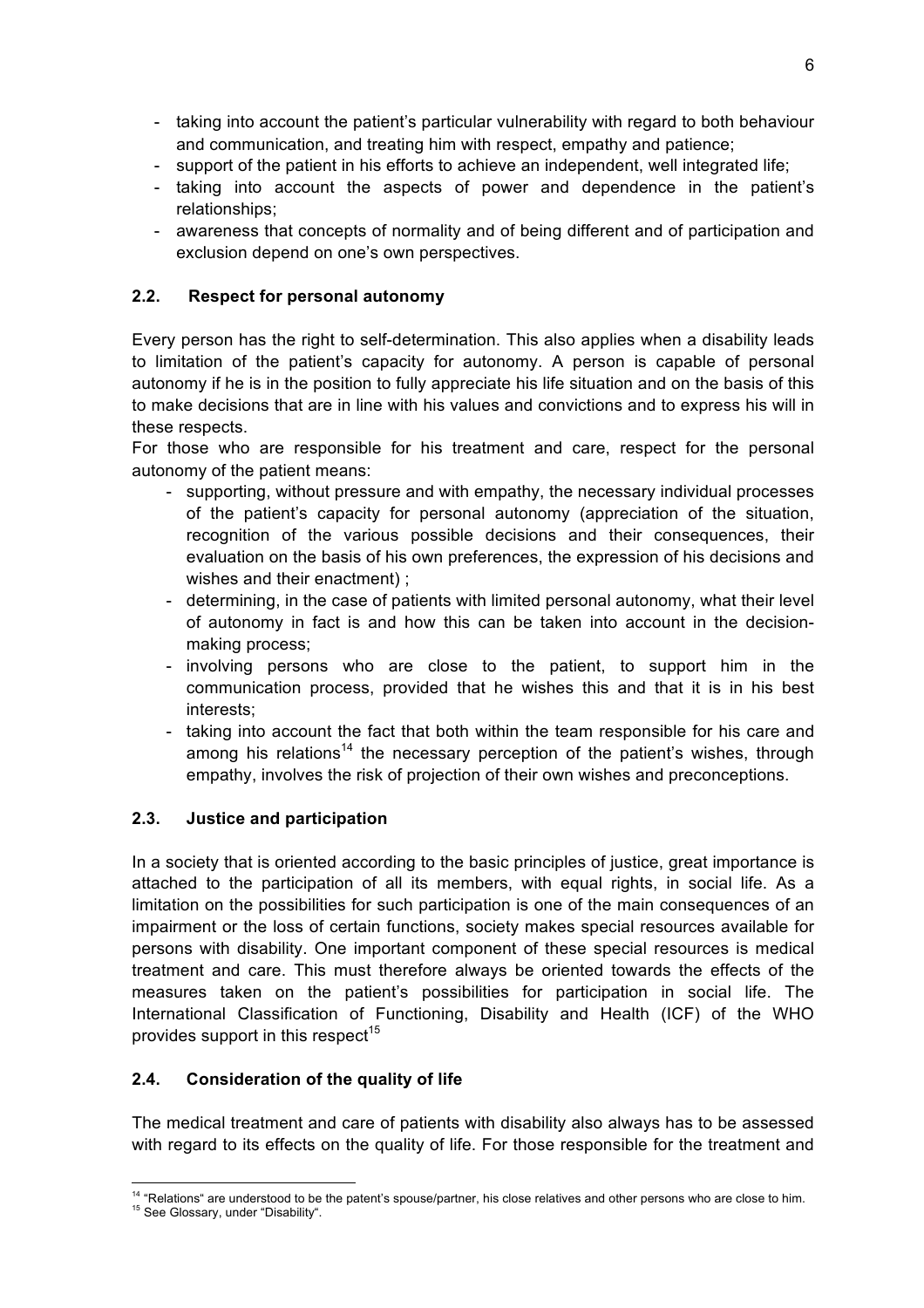- taking into account the patient's particular vulnerability with regard to both behaviour and communication, and treating him with respect, empathy and patience;
- support of the patient in his efforts to achieve an independent, well integrated life;
- taking into account the aspects of power and dependence in the patient's relationships;
- awareness that concepts of normality and of being different and of participation and exclusion depend on one's own perspectives.

### **2.2. Respect for personal autonomy**

Every person has the right to self-determination. This also applies when a disability leads to limitation of the patient's capacity for autonomy. A person is capable of personal autonomy if he is in the position to fully appreciate his life situation and on the basis of this to make decisions that are in line with his values and convictions and to express his will in these respects.

For those who are responsible for his treatment and care, respect for the personal autonomy of the patient means:

- supporting, without pressure and with empathy, the necessary individual processes of the patient's capacity for personal autonomy (appreciation of the situation, recognition of the various possible decisions and their consequences, their evaluation on the basis of his own preferences, the expression of his decisions and wishes and their enactment) ;
- determining, in the case of patients with limited personal autonomy, what their level of autonomy in fact is and how this can be taken into account in the decisionmaking process;
- involving persons who are close to the patient, to support him in the communication process, provided that he wishes this and that it is in his best interests;
- taking into account the fact that both within the team responsible for his care and among his relations<sup>14</sup> the necessary perception of the patient's wishes, through empathy, involves the risk of projection of their own wishes and preconceptions.

### **2.3. Justice and participation**

In a society that is oriented according to the basic principles of justice, great importance is attached to the participation of all its members, with equal rights, in social life. As a limitation on the possibilities for such participation is one of the main consequences of an impairment or the loss of certain functions, society makes special resources available for persons with disability. One important component of these special resources is medical treatment and care. This must therefore always be oriented towards the effects of the measures taken on the patient's possibilities for participation in social life. The International Classification of Functioning, Disability and Health (ICF) of the WHO provides support in this respect $15$ 

### **2.4. Consideration of the quality of life**

The medical treatment and care of patients with disability also always has to be assessed with regard to its effects on the quality of life. For those responsible for the treatment and

<sup>&</sup>lt;sup>14</sup> "Relations" are understood to be the patent's spouse/partner, his close relatives and other persons who are close to him.<br><sup>15</sup> See Glossary, under "Disability".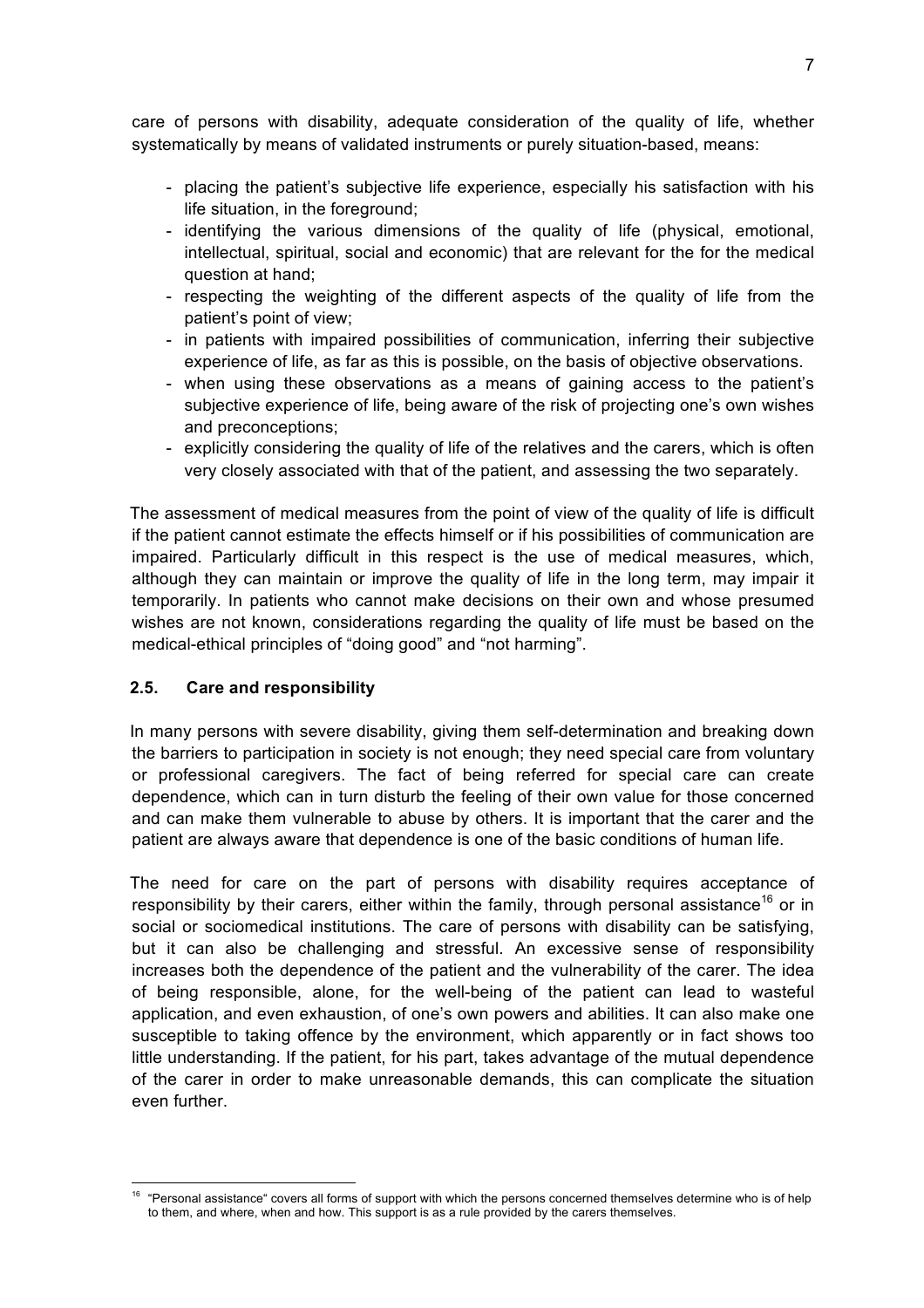care of persons with disability, adequate consideration of the quality of life, whether systematically by means of validated instruments or purely situation-based, means:

- placing the patient's subjective life experience, especially his satisfaction with his life situation, in the foreground;
- identifying the various dimensions of the quality of life (physical, emotional, intellectual, spiritual, social and economic) that are relevant for the for the medical question at hand;
- respecting the weighting of the different aspects of the quality of life from the patient's point of view;
- in patients with impaired possibilities of communication, inferring their subjective experience of life, as far as this is possible, on the basis of objective observations.
- when using these observations as a means of gaining access to the patient's subjective experience of life, being aware of the risk of projecting one's own wishes and preconceptions;
- explicitly considering the quality of life of the relatives and the carers, which is often very closely associated with that of the patient, and assessing the two separately.

The assessment of medical measures from the point of view of the quality of life is difficult if the patient cannot estimate the effects himself or if his possibilities of communication are impaired. Particularly difficult in this respect is the use of medical measures, which, although they can maintain or improve the quality of life in the long term, may impair it temporarily. In patients who cannot make decisions on their own and whose presumed wishes are not known, considerations regarding the quality of life must be based on the medical-ethical principles of "doing good" and "not harming".

#### **2.5. Care and responsibility**

In many persons with severe disability, giving them self-determination and breaking down the barriers to participation in society is not enough; they need special care from voluntary or professional caregivers. The fact of being referred for special care can create dependence, which can in turn disturb the feeling of their own value for those concerned and can make them vulnerable to abuse by others. It is important that the carer and the patient are always aware that dependence is one of the basic conditions of human life.

The need for care on the part of persons with disability requires acceptance of responsibility by their carers, either within the family, through personal assistance<sup>16</sup> or in social or sociomedical institutions. The care of persons with disability can be satisfying, but it can also be challenging and stressful. An excessive sense of responsibility increases both the dependence of the patient and the vulnerability of the carer. The idea of being responsible, alone, for the well-being of the patient can lead to wasteful application, and even exhaustion, of one's own powers and abilities. It can also make one susceptible to taking offence by the environment, which apparently or in fact shows too little understanding. If the patient, for his part, takes advantage of the mutual dependence of the carer in order to make unreasonable demands, this can complicate the situation even further.

<sup>&</sup>lt;sup>16</sup> "Personal assistance" covers all forms of support with which the persons concerned themselves determine who is of help to them, and where, when and how. This support is as a rule provided by the carers themselves.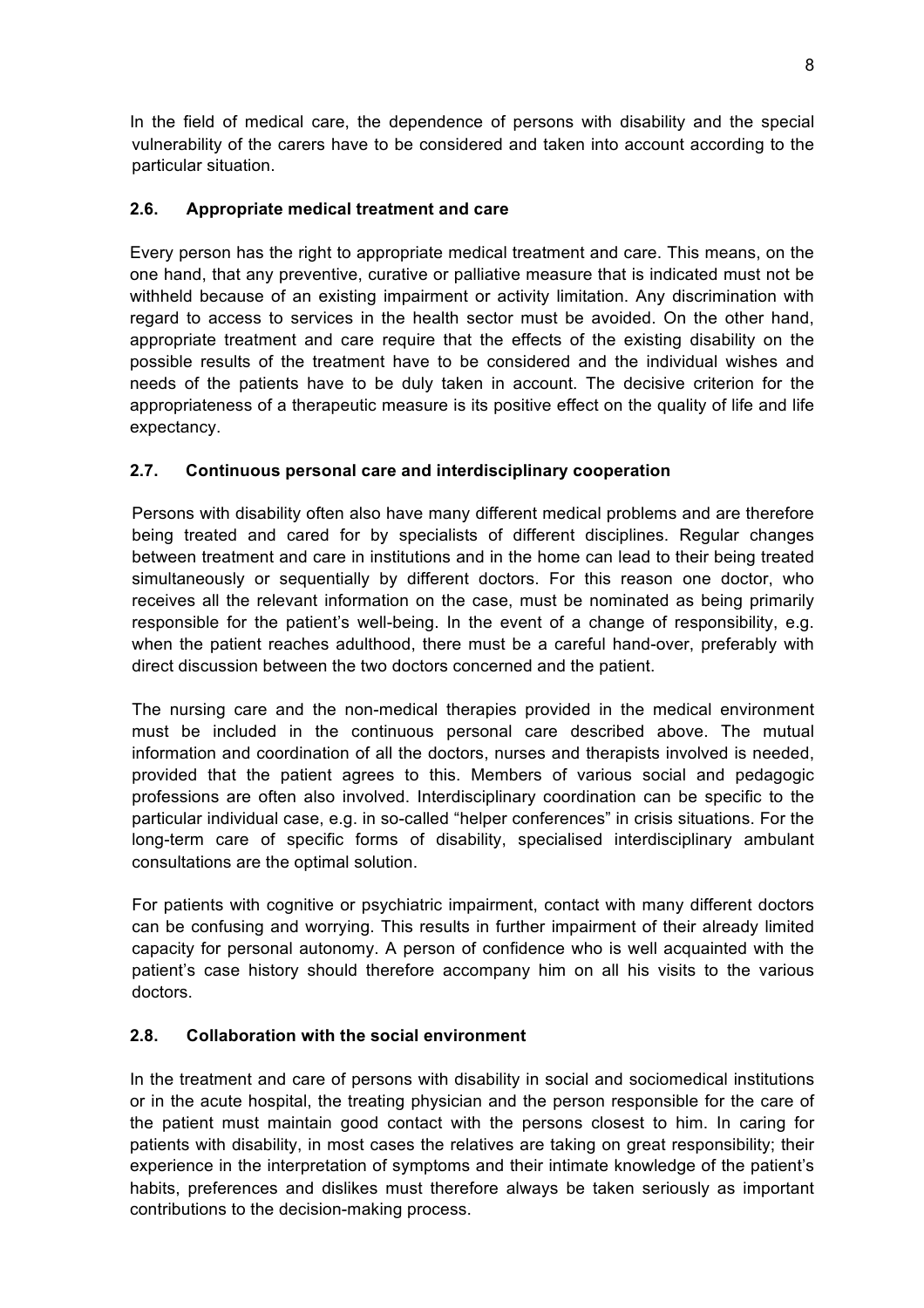In the field of medical care, the dependence of persons with disability and the special vulnerability of the carers have to be considered and taken into account according to the particular situation.

### **2.6. Appropriate medical treatment and care**

Every person has the right to appropriate medical treatment and care. This means, on the one hand, that any preventive, curative or palliative measure that is indicated must not be withheld because of an existing impairment or activity limitation. Any discrimination with regard to access to services in the health sector must be avoided. On the other hand, appropriate treatment and care require that the effects of the existing disability on the possible results of the treatment have to be considered and the individual wishes and needs of the patients have to be duly taken in account. The decisive criterion for the appropriateness of a therapeutic measure is its positive effect on the quality of life and life expectancy.

### **2.7. Continuous personal care and interdisciplinary cooperation**

Persons with disability often also have many different medical problems and are therefore being treated and cared for by specialists of different disciplines. Regular changes between treatment and care in institutions and in the home can lead to their being treated simultaneously or sequentially by different doctors. For this reason one doctor, who receives all the relevant information on the case, must be nominated as being primarily responsible for the patient's well-being. In the event of a change of responsibility, e.g. when the patient reaches adulthood, there must be a careful hand-over, preferably with direct discussion between the two doctors concerned and the patient.

The nursing care and the non-medical therapies provided in the medical environment must be included in the continuous personal care described above. The mutual information and coordination of all the doctors, nurses and therapists involved is needed, provided that the patient agrees to this. Members of various social and pedagogic professions are often also involved. Interdisciplinary coordination can be specific to the particular individual case, e.g. in so-called "helper conferences" in crisis situations. For the long-term care of specific forms of disability, specialised interdisciplinary ambulant consultations are the optimal solution.

For patients with cognitive or psychiatric impairment, contact with many different doctors can be confusing and worrying. This results in further impairment of their already limited capacity for personal autonomy. A person of confidence who is well acquainted with the patient's case history should therefore accompany him on all his visits to the various doctors.

### **2.8. Collaboration with the social environment**

In the treatment and care of persons with disability in social and sociomedical institutions or in the acute hospital, the treating physician and the person responsible for the care of the patient must maintain good contact with the persons closest to him. In caring for patients with disability, in most cases the relatives are taking on great responsibility; their experience in the interpretation of symptoms and their intimate knowledge of the patient's habits, preferences and dislikes must therefore always be taken seriously as important contributions to the decision-making process.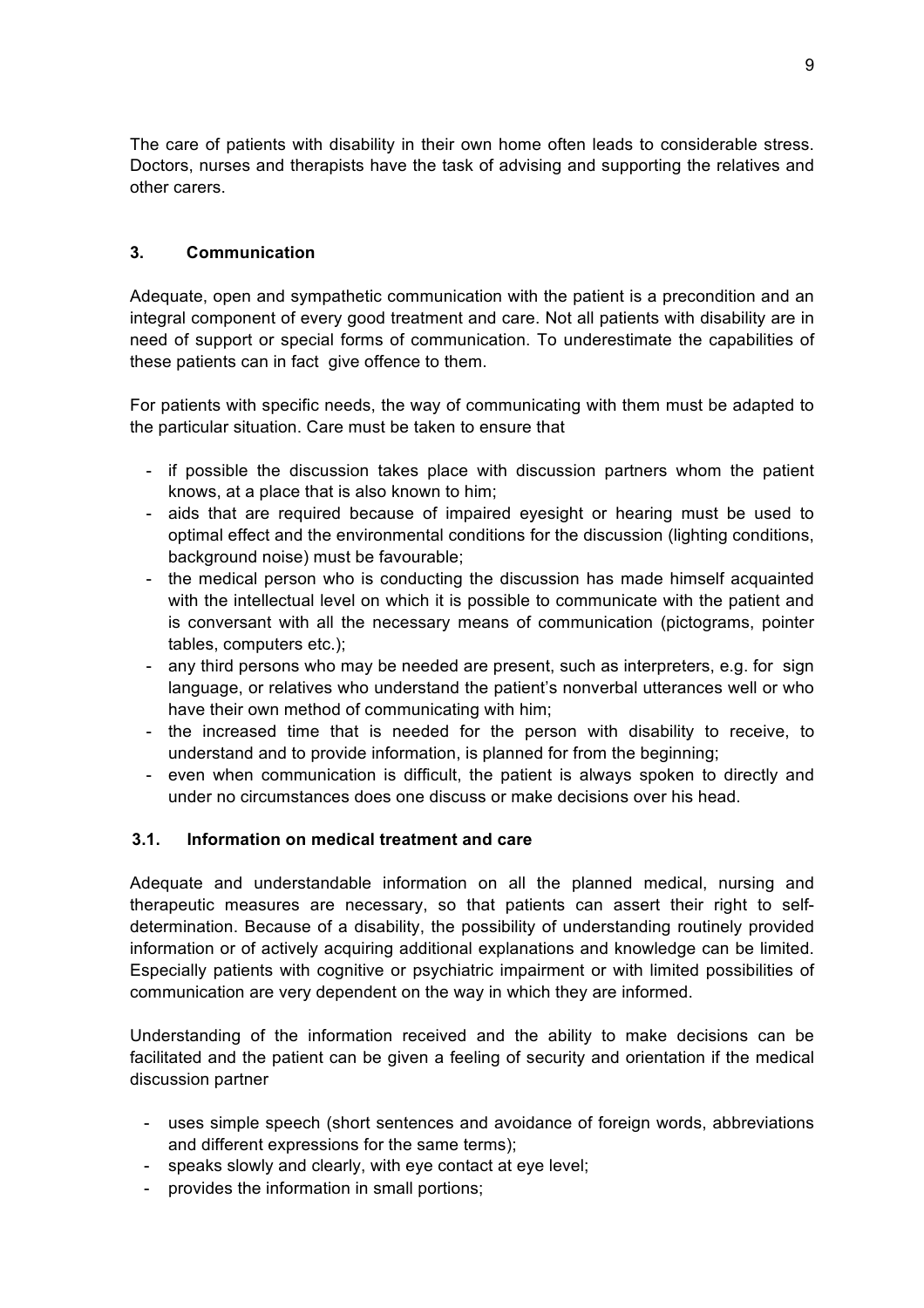The care of patients with disability in their own home often leads to considerable stress. Doctors, nurses and therapists have the task of advising and supporting the relatives and other carers.

#### **3. Communication**

Adequate, open and sympathetic communication with the patient is a precondition and an integral component of every good treatment and care. Not all patients with disability are in need of support or special forms of communication. To underestimate the capabilities of these patients can in fact give offence to them.

For patients with specific needs, the way of communicating with them must be adapted to the particular situation. Care must be taken to ensure that

- if possible the discussion takes place with discussion partners whom the patient knows, at a place that is also known to him;
- aids that are required because of impaired eyesight or hearing must be used to optimal effect and the environmental conditions for the discussion (lighting conditions, background noise) must be favourable;
- the medical person who is conducting the discussion has made himself acquainted with the intellectual level on which it is possible to communicate with the patient and is conversant with all the necessary means of communication (pictograms, pointer tables, computers etc.);
- any third persons who may be needed are present, such as interpreters, e.g. for sign language, or relatives who understand the patient's nonverbal utterances well or who have their own method of communicating with him;
- the increased time that is needed for the person with disability to receive, to understand and to provide information, is planned for from the beginning;
- even when communication is difficult, the patient is always spoken to directly and under no circumstances does one discuss or make decisions over his head.

#### **3.1. Information on medical treatment and care**

Adequate and understandable information on all the planned medical, nursing and therapeutic measures are necessary, so that patients can assert their right to selfdetermination. Because of a disability, the possibility of understanding routinely provided information or of actively acquiring additional explanations and knowledge can be limited. Especially patients with cognitive or psychiatric impairment or with limited possibilities of communication are very dependent on the way in which they are informed.

Understanding of the information received and the ability to make decisions can be facilitated and the patient can be given a feeling of security and orientation if the medical discussion partner

- uses simple speech (short sentences and avoidance of foreign words, abbreviations and different expressions for the same terms);
- speaks slowly and clearly, with eye contact at eye level;
- provides the information in small portions;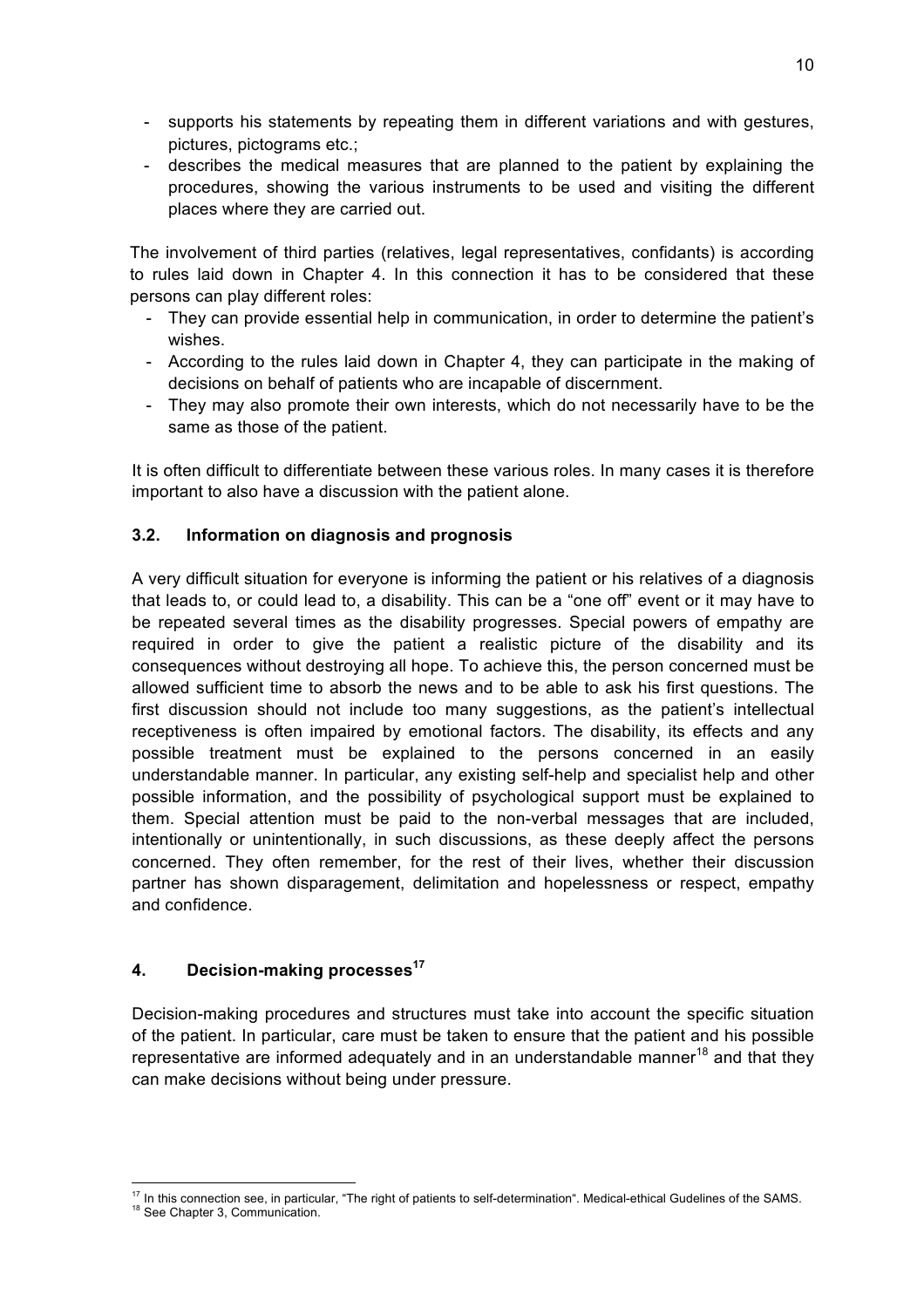- supports his statements by repeating them in different variations and with gestures, pictures, pictograms etc.;
- describes the medical measures that are planned to the patient by explaining the procedures, showing the various instruments to be used and visiting the different places where they are carried out.

The involvement of third parties (relatives, legal representatives, confidants) is according to rules laid down in Chapter 4. In this connection it has to be considered that these persons can play different roles:

- They can provide essential help in communication, in order to determine the patient's wishes.
- According to the rules laid down in Chapter 4, they can participate in the making of decisions on behalf of patients who are incapable of discernment.
- They may also promote their own interests, which do not necessarily have to be the same as those of the patient.

It is often difficult to differentiate between these various roles. In many cases it is therefore important to also have a discussion with the patient alone.

### **3.2. Information on diagnosis and prognosis**

A very difficult situation for everyone is informing the patient or his relatives of a diagnosis that leads to, or could lead to, a disability. This can be a "one off" event or it may have to be repeated several times as the disability progresses. Special powers of empathy are required in order to give the patient a realistic picture of the disability and its consequences without destroying all hope. To achieve this, the person concerned must be allowed sufficient time to absorb the news and to be able to ask his first questions. The first discussion should not include too many suggestions, as the patient's intellectual receptiveness is often impaired by emotional factors. The disability, its effects and any possible treatment must be explained to the persons concerned in an easily understandable manner. In particular, any existing self-help and specialist help and other possible information, and the possibility of psychological support must be explained to them. Special attention must be paid to the non-verbal messages that are included, intentionally or unintentionally, in such discussions, as these deeply affect the persons concerned. They often remember, for the rest of their lives, whether their discussion partner has shown disparagement, delimitation and hopelessness or respect, empathy and confidence.

#### **4. Decision-making processes<sup>17</sup>**

Decision-making procedures and structures must take into account the specific situation of the patient. In particular, care must be taken to ensure that the patient and his possible representative are informed adequately and in an understandable manner<sup>18</sup> and that they can make decisions without being under pressure.

 $17$  In this connection see, in particular, "The right of patients to self-determination". Medical-ethical Gudelines of the SAMS.<br><sup>18</sup> See Chapter 3, Communication.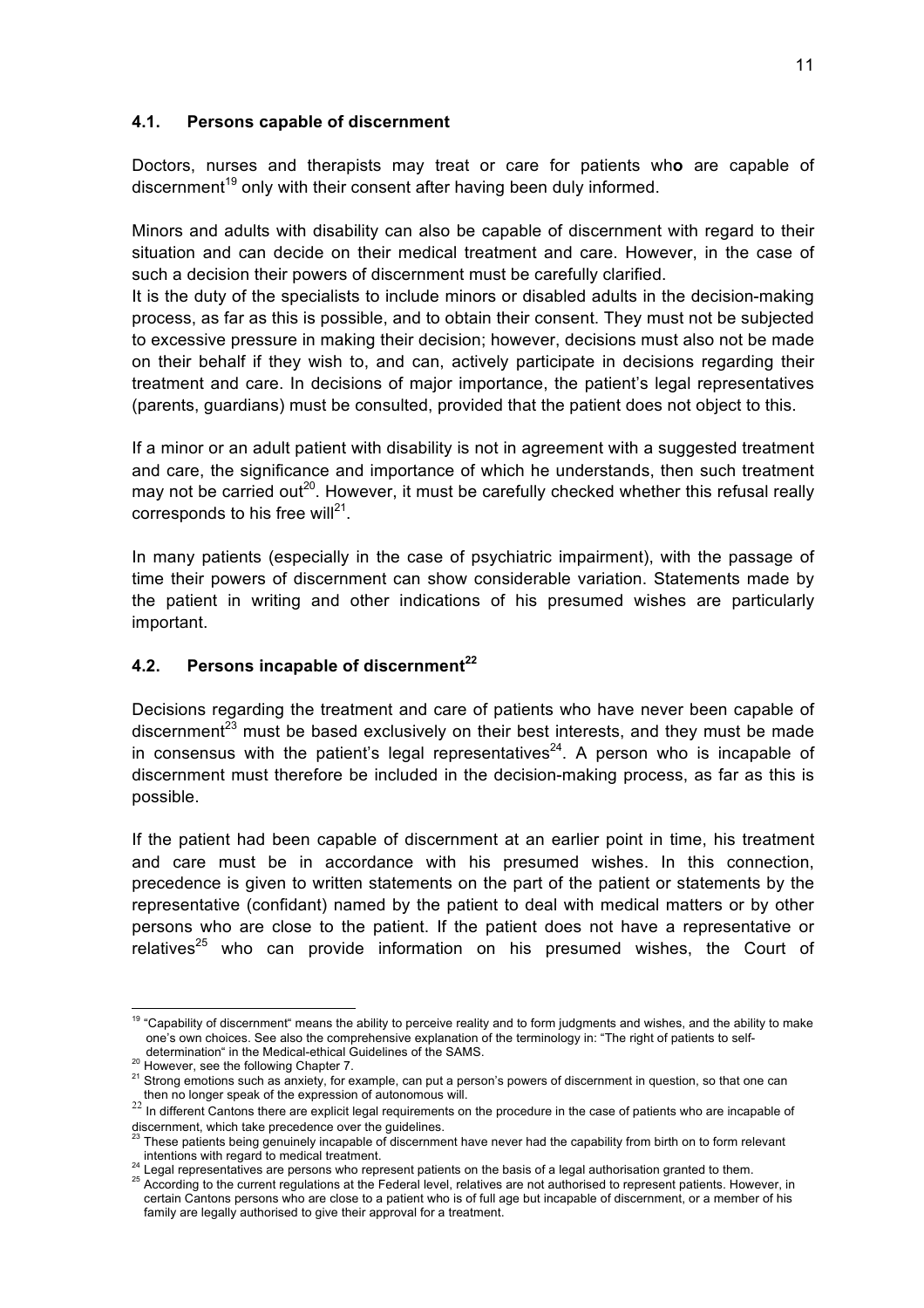#### **4.1. Persons capable of discernment**

Doctors, nurses and therapists may treat or care for patients wh**o** are capable of discernment<sup>19</sup> only with their consent after having been duly informed.

Minors and adults with disability can also be capable of discernment with regard to their situation and can decide on their medical treatment and care. However, in the case of such a decision their powers of discernment must be carefully clarified.

It is the duty of the specialists to include minors or disabled adults in the decision-making process, as far as this is possible, and to obtain their consent. They must not be subjected to excessive pressure in making their decision; however, decisions must also not be made on their behalf if they wish to, and can, actively participate in decisions regarding their treatment and care. In decisions of major importance, the patient's legal representatives (parents, guardians) must be consulted, provided that the patient does not object to this.

If a minor or an adult patient with disability is not in agreement with a suggested treatment and care, the significance and importance of which he understands, then such treatment may not be carried out<sup>20</sup>. However, it must be carefully checked whether this refusal really corresponds to his free will $^{21}$ .

In many patients (especially in the case of psychiatric impairment), with the passage of time their powers of discernment can show considerable variation. Statements made by the patient in writing and other indications of his presumed wishes are particularly important.

### **4.2. Persons incapable of discernment<sup>22</sup>**

Decisions regarding the treatment and care of patients who have never been capable of discernment<sup>23</sup> must be based exclusively on their best interests, and they must be made in consensus with the patient's legal representatives<sup>24</sup>. A person who is incapable of discernment must therefore be included in the decision-making process, as far as this is possible.

If the patient had been capable of discernment at an earlier point in time, his treatment and care must be in accordance with his presumed wishes. In this connection, precedence is given to written statements on the part of the patient or statements by the representative (confidant) named by the patient to deal with medical matters or by other persons who are close to the patient. If the patient does not have a representative or relatives $^{25}$  who can provide information on his presumed wishes, the Court of

<sup>&</sup>lt;sup>19</sup> "Capability of discernment" means the ability to perceive reality and to form judgments and wishes, and the ability to make one's own choices. See also the comprehensive explanation of the terminology in: "The right of patients to self-

determination in the Medical-ethical-ethical-ethical-ethical-ethical-ethical-ethical-ethical-ethical-ethical-ethical-ethical-ethical-ethical-ethical-ethical-ethical-ethical-ethical-ethical-ethical-ethical-ethical-ethical-e

 $22$  In different Cantons there are explicit legal requirements on the procedure in the case of patients who are incapable of discernment, which take precedence over the guidelines.

These patients being genuinely incapable of discernment have never had the capability from birth on to form relevant

intentions with regard to medical treatment.<br><sup>24</sup> Legal representatives are persons who represent patients on the basis of a legal authorisation granted to them.<br><sup>25</sup> According to the current regulations at the Federal le certain Cantons persons who are close to a patient who is of full age but incapable of discernment, or a member of his family are legally authorised to give their approval for a treatment.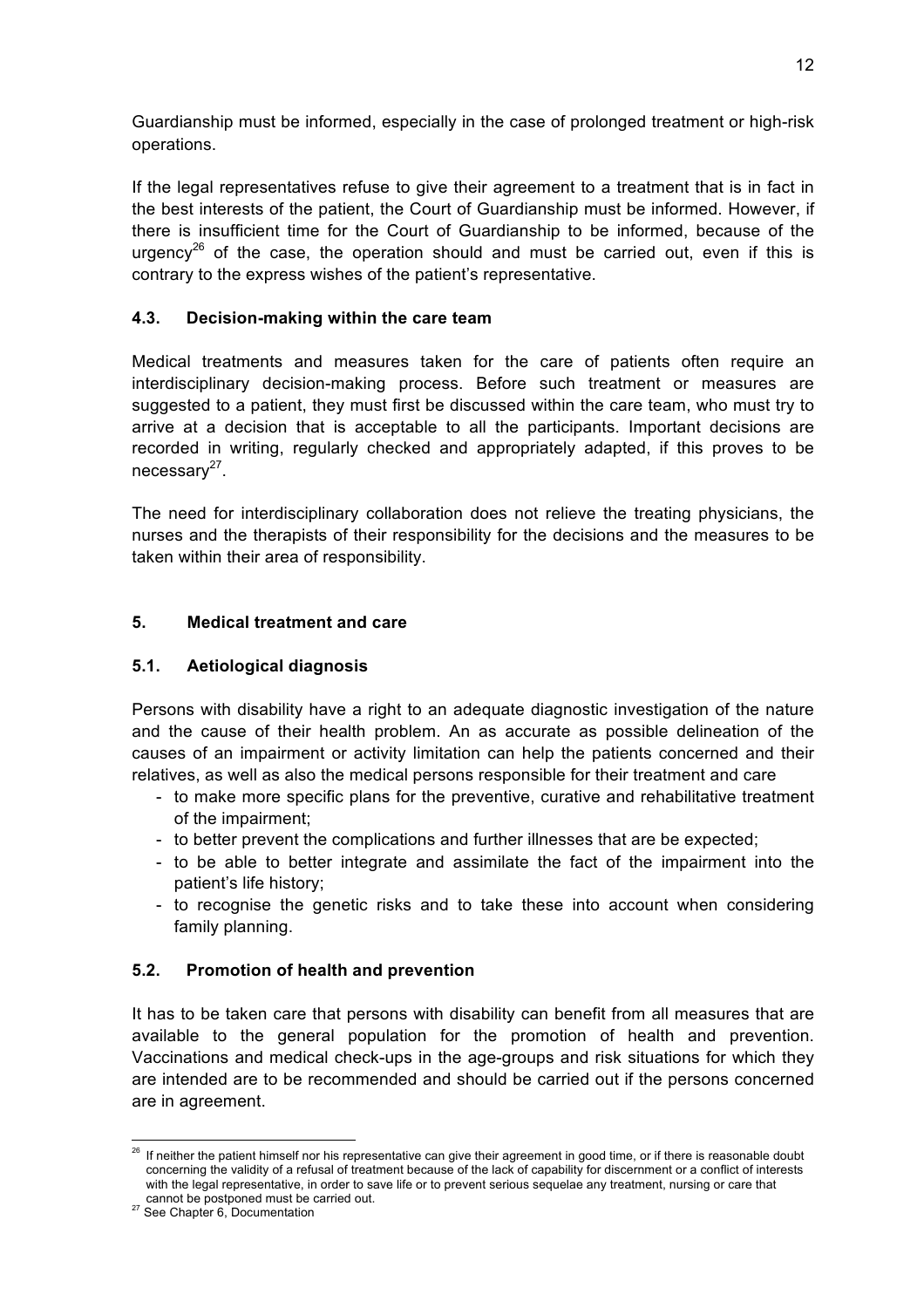Guardianship must be informed, especially in the case of prolonged treatment or high-risk operations.

If the legal representatives refuse to give their agreement to a treatment that is in fact in the best interests of the patient, the Court of Guardianship must be informed. However, if there is insufficient time for the Court of Guardianship to be informed, because of the urgency<sup>26</sup> of the case, the operation should and must be carried out, even if this is contrary to the express wishes of the patient's representative.

### **4.3. Decision-making within the care team**

Medical treatments and measures taken for the care of patients often require an interdisciplinary decision-making process. Before such treatment or measures are suggested to a patient, they must first be discussed within the care team, who must try to arrive at a decision that is acceptable to all the participants. Important decisions are recorded in writing, regularly checked and appropriately adapted, if this proves to be  $necessary<sup>27</sup>$ .

The need for interdisciplinary collaboration does not relieve the treating physicians, the nurses and the therapists of their responsibility for the decisions and the measures to be taken within their area of responsibility.

### **5. Medical treatment and care**

### **5.1. Aetiological diagnosis**

Persons with disability have a right to an adequate diagnostic investigation of the nature and the cause of their health problem. An as accurate as possible delineation of the causes of an impairment or activity limitation can help the patients concerned and their relatives, as well as also the medical persons responsible for their treatment and care

- to make more specific plans for the preventive, curative and rehabilitative treatment of the impairment;
- to better prevent the complications and further illnesses that are be expected;
- to be able to better integrate and assimilate the fact of the impairment into the patient's life history;
- to recognise the genetic risks and to take these into account when considering family planning.

### **5.2. Promotion of health and prevention**

It has to be taken care that persons with disability can benefit from all measures that are available to the general population for the promotion of health and prevention. Vaccinations and medical check-ups in the age-groups and risk situations for which they are intended are to be recommended and should be carried out if the persons concerned are in agreement.

<sup>&</sup>lt;sup>26</sup> If neither the patient himself nor his representative can give their agreement in good time, or if there is reasonable doubt concerning the validity of a refusal of treatment because of the lack of capability for discernment or a conflict of interests with the legal representative, in order to save life or to prevent serious sequelae any treatment, nursing or care that

cannot be postponed must be carried out. 27 See Chapter 6, Documentation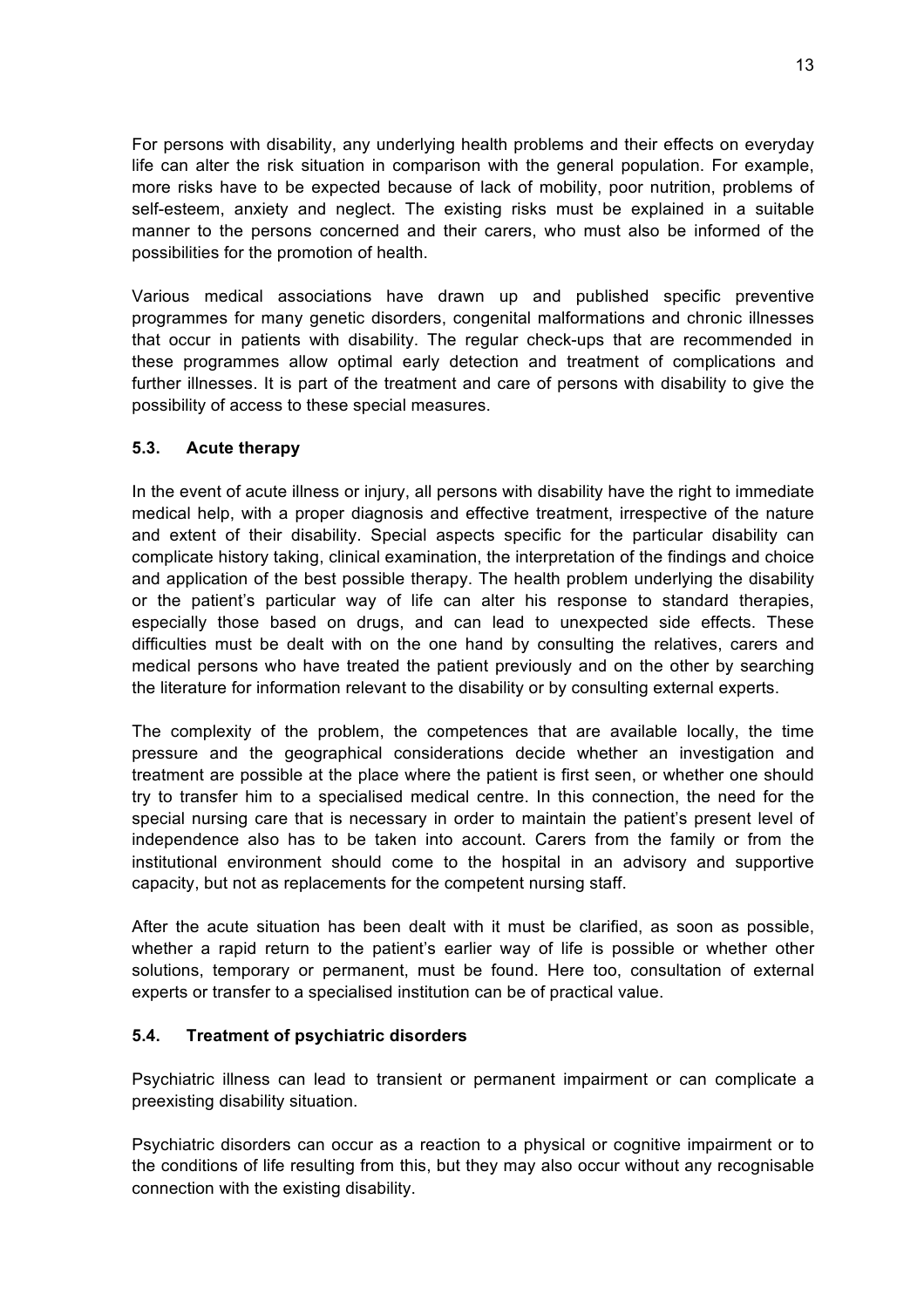For persons with disability, any underlying health problems and their effects on everyday life can alter the risk situation in comparison with the general population. For example, more risks have to be expected because of lack of mobility, poor nutrition, problems of self-esteem, anxiety and neglect. The existing risks must be explained in a suitable manner to the persons concerned and their carers, who must also be informed of the possibilities for the promotion of health.

Various medical associations have drawn up and published specific preventive programmes for many genetic disorders, congenital malformations and chronic illnesses that occur in patients with disability. The regular check-ups that are recommended in these programmes allow optimal early detection and treatment of complications and further illnesses. It is part of the treatment and care of persons with disability to give the possibility of access to these special measures.

#### **5.3. Acute therapy**

In the event of acute illness or injury, all persons with disability have the right to immediate medical help, with a proper diagnosis and effective treatment, irrespective of the nature and extent of their disability. Special aspects specific for the particular disability can complicate history taking, clinical examination, the interpretation of the findings and choice and application of the best possible therapy. The health problem underlying the disability or the patient's particular way of life can alter his response to standard therapies, especially those based on drugs, and can lead to unexpected side effects. These difficulties must be dealt with on the one hand by consulting the relatives, carers and medical persons who have treated the patient previously and on the other by searching the literature for information relevant to the disability or by consulting external experts.

The complexity of the problem, the competences that are available locally, the time pressure and the geographical considerations decide whether an investigation and treatment are possible at the place where the patient is first seen, or whether one should try to transfer him to a specialised medical centre. In this connection, the need for the special nursing care that is necessary in order to maintain the patient's present level of independence also has to be taken into account. Carers from the family or from the institutional environment should come to the hospital in an advisory and supportive capacity, but not as replacements for the competent nursing staff.

After the acute situation has been dealt with it must be clarified, as soon as possible, whether a rapid return to the patient's earlier way of life is possible or whether other solutions, temporary or permanent, must be found. Here too, consultation of external experts or transfer to a specialised institution can be of practical value.

#### **5.4. Treatment of psychiatric disorders**

Psychiatric illness can lead to transient or permanent impairment or can complicate a preexisting disability situation.

Psychiatric disorders can occur as a reaction to a physical or cognitive impairment or to the conditions of life resulting from this, but they may also occur without any recognisable connection with the existing disability.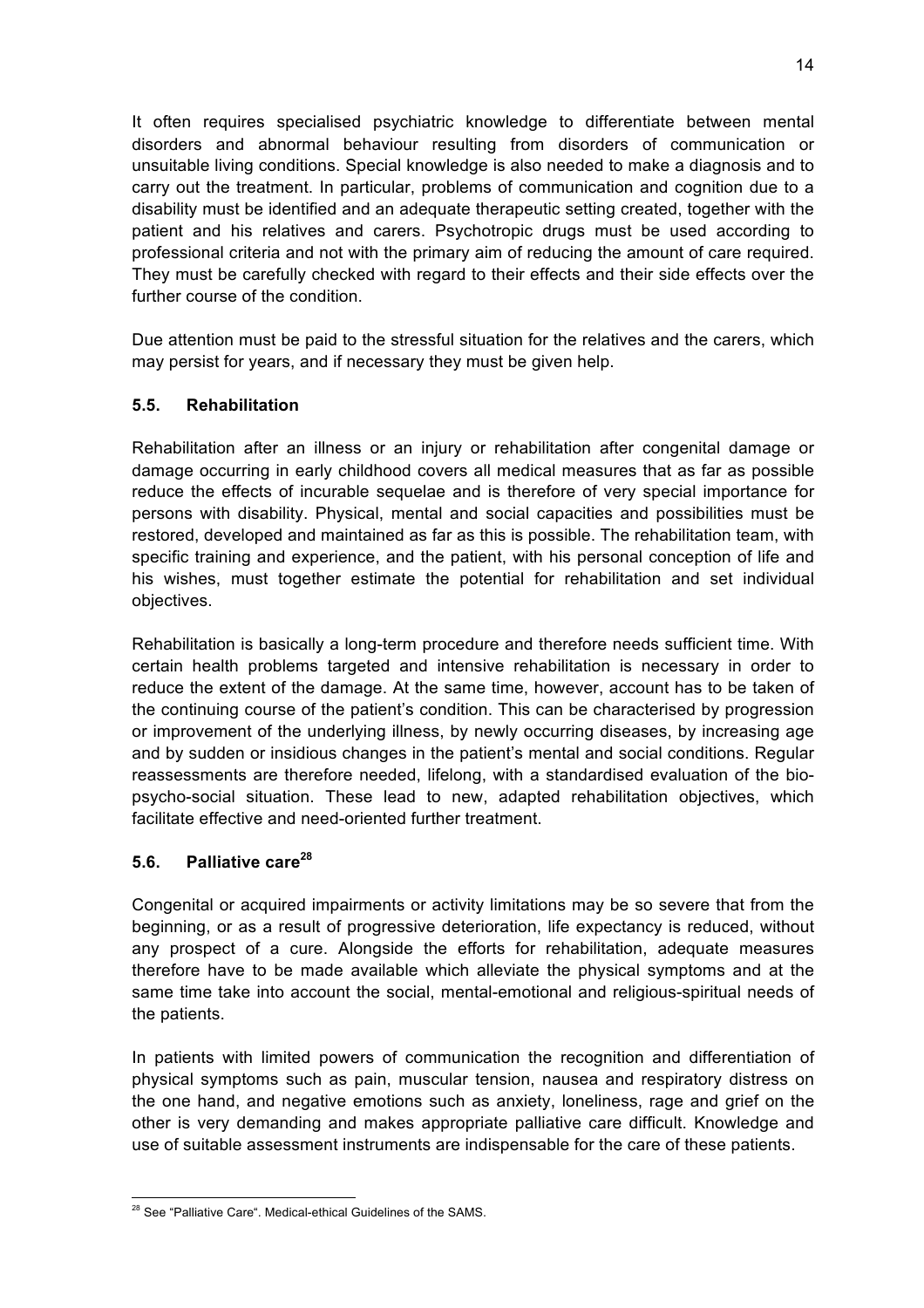It often requires specialised psychiatric knowledge to differentiate between mental disorders and abnormal behaviour resulting from disorders of communication or unsuitable living conditions. Special knowledge is also needed to make a diagnosis and to carry out the treatment. In particular, problems of communication and cognition due to a disability must be identified and an adequate therapeutic setting created, together with the patient and his relatives and carers. Psychotropic drugs must be used according to professional criteria and not with the primary aim of reducing the amount of care required. They must be carefully checked with regard to their effects and their side effects over the further course of the condition.

Due attention must be paid to the stressful situation for the relatives and the carers, which may persist for years, and if necessary they must be given help.

### **5.5. Rehabilitation**

Rehabilitation after an illness or an injury or rehabilitation after congenital damage or damage occurring in early childhood covers all medical measures that as far as possible reduce the effects of incurable sequelae and is therefore of very special importance for persons with disability. Physical, mental and social capacities and possibilities must be restored, developed and maintained as far as this is possible. The rehabilitation team, with specific training and experience, and the patient, with his personal conception of life and his wishes, must together estimate the potential for rehabilitation and set individual objectives.

Rehabilitation is basically a long-term procedure and therefore needs sufficient time. With certain health problems targeted and intensive rehabilitation is necessary in order to reduce the extent of the damage. At the same time, however, account has to be taken of the continuing course of the patient's condition. This can be characterised by progression or improvement of the underlying illness, by newly occurring diseases, by increasing age and by sudden or insidious changes in the patient's mental and social conditions. Regular reassessments are therefore needed, lifelong, with a standardised evaluation of the biopsycho-social situation. These lead to new, adapted rehabilitation objectives, which facilitate effective and need-oriented further treatment.

### **5.6. Palliative care<sup>28</sup>**

Congenital or acquired impairments or activity limitations may be so severe that from the beginning, or as a result of progressive deterioration, life expectancy is reduced, without any prospect of a cure. Alongside the efforts for rehabilitation, adequate measures therefore have to be made available which alleviate the physical symptoms and at the same time take into account the social, mental-emotional and religious-spiritual needs of the patients.

In patients with limited powers of communication the recognition and differentiation of physical symptoms such as pain, muscular tension, nausea and respiratory distress on the one hand, and negative emotions such as anxiety, loneliness, rage and grief on the other is very demanding and makes appropriate palliative care difficult. Knowledge and use of suitable assessment instruments are indispensable for the care of these patients.

<sup>&</sup>lt;sup>28</sup> See "Palliative Care". Medical-ethical Guidelines of the SAMS.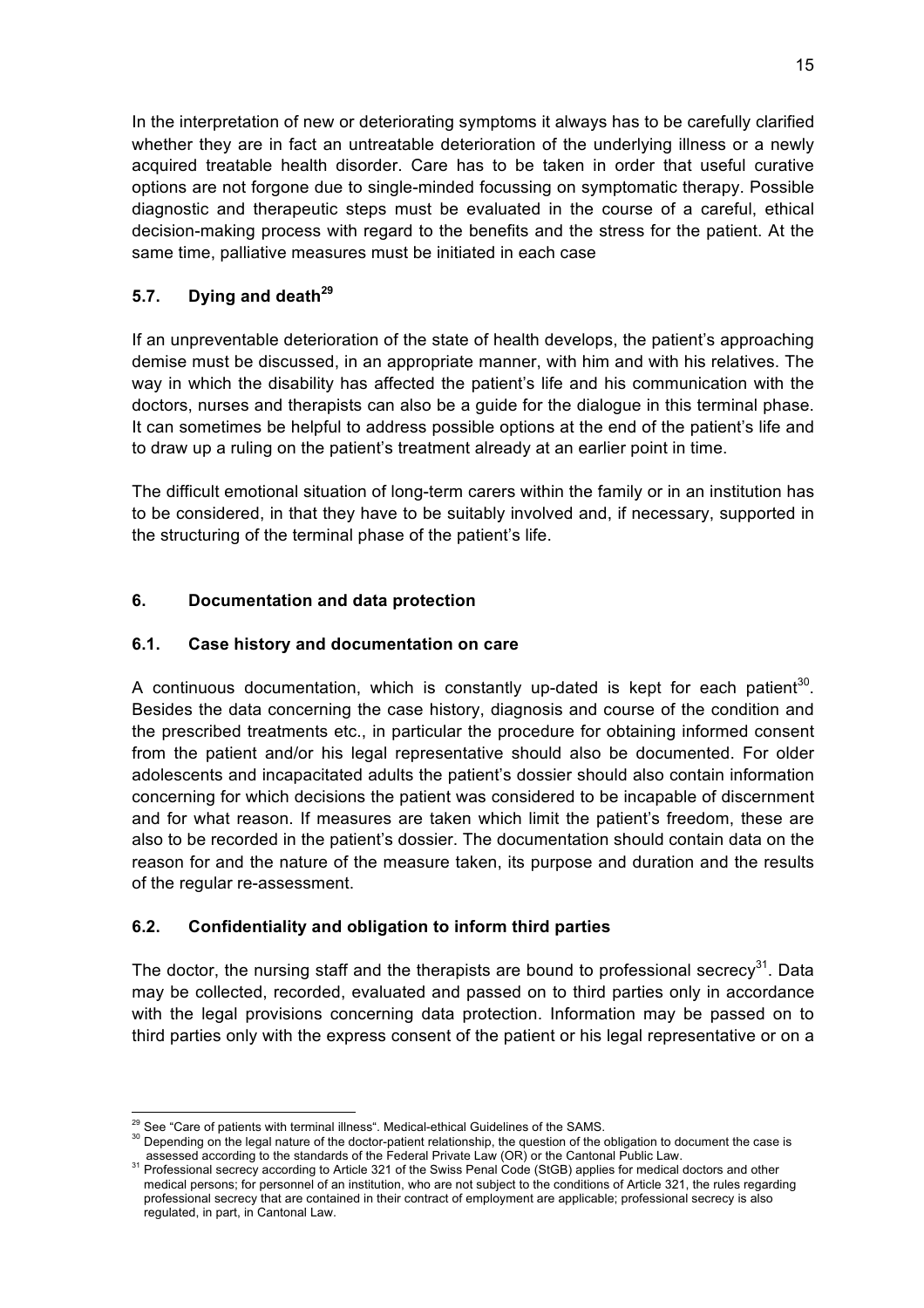In the interpretation of new or deteriorating symptoms it always has to be carefully clarified whether they are in fact an untreatable deterioration of the underlying illness or a newly acquired treatable health disorder. Care has to be taken in order that useful curative options are not forgone due to single-minded focussing on symptomatic therapy. Possible diagnostic and therapeutic steps must be evaluated in the course of a careful, ethical decision-making process with regard to the benefits and the stress for the patient. At the same time, palliative measures must be initiated in each case

## **5.7. Dying and death<sup>29</sup>**

If an unpreventable deterioration of the state of health develops, the patient's approaching demise must be discussed, in an appropriate manner, with him and with his relatives. The way in which the disability has affected the patient's life and his communication with the doctors, nurses and therapists can also be a guide for the dialogue in this terminal phase. It can sometimes be helpful to address possible options at the end of the patient's life and to draw up a ruling on the patient's treatment already at an earlier point in time.

The difficult emotional situation of long-term carers within the family or in an institution has to be considered, in that they have to be suitably involved and, if necessary, supported in the structuring of the terminal phase of the patient's life.

## **6. Documentation and data protection**

### **6.1. Case history and documentation on care**

A continuous documentation, which is constantly up-dated is kept for each patient<sup>30</sup>. Besides the data concerning the case history, diagnosis and course of the condition and the prescribed treatments etc., in particular the procedure for obtaining informed consent from the patient and/or his legal representative should also be documented. For older adolescents and incapacitated adults the patient's dossier should also contain information concerning for which decisions the patient was considered to be incapable of discernment and for what reason. If measures are taken which limit the patient's freedom, these are also to be recorded in the patient's dossier. The documentation should contain data on the reason for and the nature of the measure taken, its purpose and duration and the results of the regular re-assessment.

## **6.2. Confidentiality and obligation to inform third parties**

The doctor, the nursing staff and the therapists are bound to professional secrecy<sup>31</sup>. Data may be collected, recorded, evaluated and passed on to third parties only in accordance with the legal provisions concerning data protection. Information may be passed on to third parties only with the express consent of the patient or his legal representative or on a

<sup>&</sup>lt;sup>29</sup> See "Care of patients with terminal illness". Medical-ethical Guidelines of the SAMS.<br><sup>30</sup> Depending on the legal nature of the doctor-patient relationship, the question of the obligation to document the case is

assessed according to the standards of the Federal Private Law (OR) or the Cantonal Public Law.<br><sup>31</sup> Professional secrecy according to Article 321 of the Swiss Penal Code (StGB) applies for medical doctors and other medical persons; for personnel of an institution, who are not subject to the conditions of Article 321, the rules regarding professional secrecy that are contained in their contract of employment are applicable; professional secrecy is also regulated, in part, in Cantonal Law.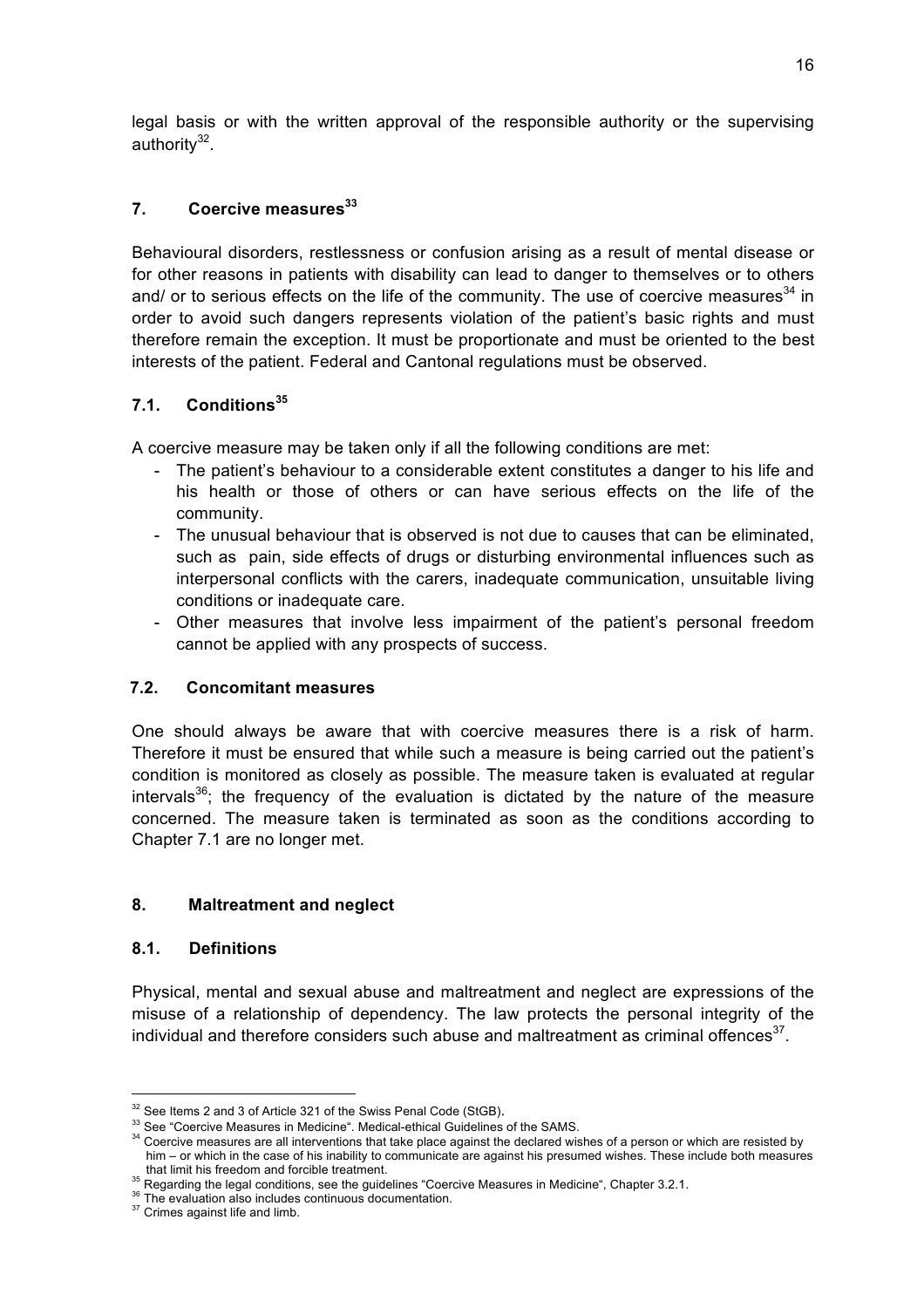legal basis or with the written approval of the responsible authority or the supervising authority $32$ .

### **7. Coercive measures<sup>33</sup>**

Behavioural disorders, restlessness or confusion arising as a result of mental disease or for other reasons in patients with disability can lead to danger to themselves or to others and/ or to serious effects on the life of the community. The use of coercive measures<sup>34</sup> in order to avoid such dangers represents violation of the patient's basic rights and must therefore remain the exception. It must be proportionate and must be oriented to the best interests of the patient. Federal and Cantonal regulations must be observed.

### **7.1. Conditions<sup>35</sup>**

A coercive measure may be taken only if all the following conditions are met:

- The patient's behaviour to a considerable extent constitutes a danger to his life and his health or those of others or can have serious effects on the life of the community.
- The unusual behaviour that is observed is not due to causes that can be eliminated, such as pain, side effects of drugs or disturbing environmental influences such as interpersonal conflicts with the carers, inadequate communication, unsuitable living conditions or inadequate care.
- Other measures that involve less impairment of the patient's personal freedom cannot be applied with any prospects of success.

### **7.2. Concomitant measures**

One should always be aware that with coercive measures there is a risk of harm. Therefore it must be ensured that while such a measure is being carried out the patient's condition is monitored as closely as possible. The measure taken is evaluated at regular intervals<sup>36</sup>; the frequency of the evaluation is dictated by the nature of the measure concerned. The measure taken is terminated as soon as the conditions according to Chapter 7.1 are no longer met.

### **8. Maltreatment and neglect**

#### **8.1. Definitions**

Physical, mental and sexual abuse and maltreatment and neglect are expressions of the misuse of a relationship of dependency. The law protects the personal integrity of the individual and therefore considers such abuse and maltreatment as criminal offences $37$ .

<sup>&</sup>lt;sup>32</sup> See Items 2 and 3 of Article 321 of the Swiss Penal Code (StGB).<br><sup>33</sup> See "Coercive Measures in Medicine". Medical-ethical Guidelines of the SAMS.<br><sup>34</sup> Coercive measures are all interventions that take place against him – or which in the case of his inability to communicate are against his presumed wishes. These include both measures that limit his freedom and forcible treatment.

<sup>&</sup>lt;sup>35</sup> Regarding the legal conditions, see the guidelines "Coercive Measures in Medicine", Chapter 3.2.1.<br><sup>36</sup> The evaluation also includes continuous documentation.<br><sup>37</sup> Crimes against life and limb.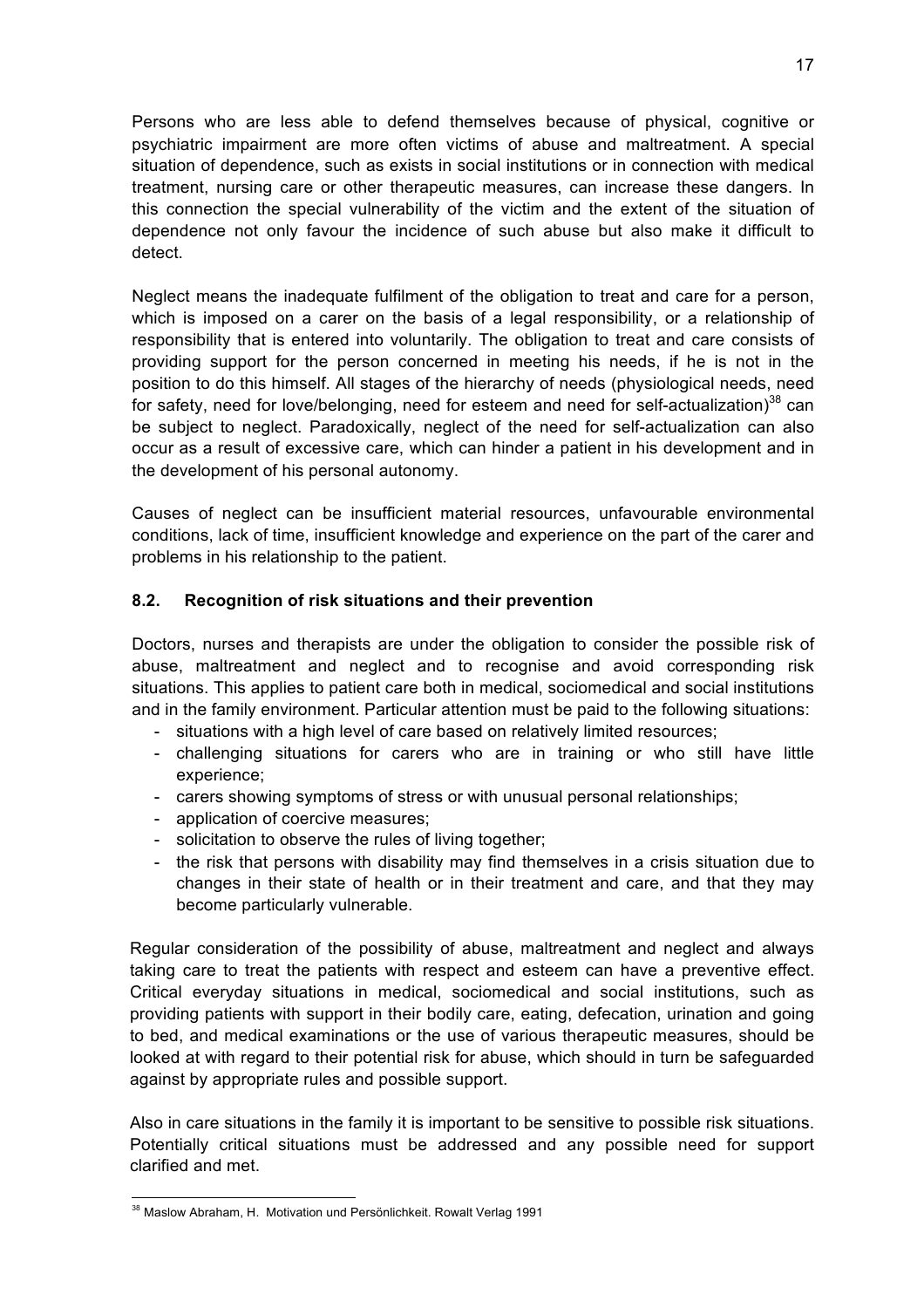Persons who are less able to defend themselves because of physical, cognitive or psychiatric impairment are more often victims of abuse and maltreatment. A special situation of dependence, such as exists in social institutions or in connection with medical treatment, nursing care or other therapeutic measures, can increase these dangers. In this connection the special vulnerability of the victim and the extent of the situation of dependence not only favour the incidence of such abuse but also make it difficult to detect.

Neglect means the inadequate fulfilment of the obligation to treat and care for a person, which is imposed on a carer on the basis of a legal responsibility, or a relationship of responsibility that is entered into voluntarily. The obligation to treat and care consists of providing support for the person concerned in meeting his needs, if he is not in the position to do this himself. All stages of the hierarchy of needs (physiological needs, need for safety, need for love/belonging, need for esteem and need for self-actualization)<sup>38</sup> can be subject to neglect. Paradoxically, neglect of the need for self-actualization can also occur as a result of excessive care, which can hinder a patient in his development and in the development of his personal autonomy.

Causes of neglect can be insufficient material resources, unfavourable environmental conditions, lack of time, insufficient knowledge and experience on the part of the carer and problems in his relationship to the patient.

#### **8.2. Recognition of risk situations and their prevention**

Doctors, nurses and therapists are under the obligation to consider the possible risk of abuse, maltreatment and neglect and to recognise and avoid corresponding risk situations. This applies to patient care both in medical, sociomedical and social institutions and in the family environment. Particular attention must be paid to the following situations:

- situations with a high level of care based on relatively limited resources;
- challenging situations for carers who are in training or who still have little experience;
- carers showing symptoms of stress or with unusual personal relationships;
- application of coercive measures;
- solicitation to observe the rules of living together;
- the risk that persons with disability may find themselves in a crisis situation due to changes in their state of health or in their treatment and care, and that they may become particularly vulnerable.

Regular consideration of the possibility of abuse, maltreatment and neglect and always taking care to treat the patients with respect and esteem can have a preventive effect. Critical everyday situations in medical, sociomedical and social institutions, such as providing patients with support in their bodily care, eating, defecation, urination and going to bed, and medical examinations or the use of various therapeutic measures, should be looked at with regard to their potential risk for abuse, which should in turn be safeguarded against by appropriate rules and possible support.

Also in care situations in the family it is important to be sensitive to possible risk situations. Potentially critical situations must be addressed and any possible need for support clarified and met.

<sup>&</sup>lt;sup>38</sup> Maslow Abraham, H. Motivation und Persönlichkeit. Rowalt Verlag 1991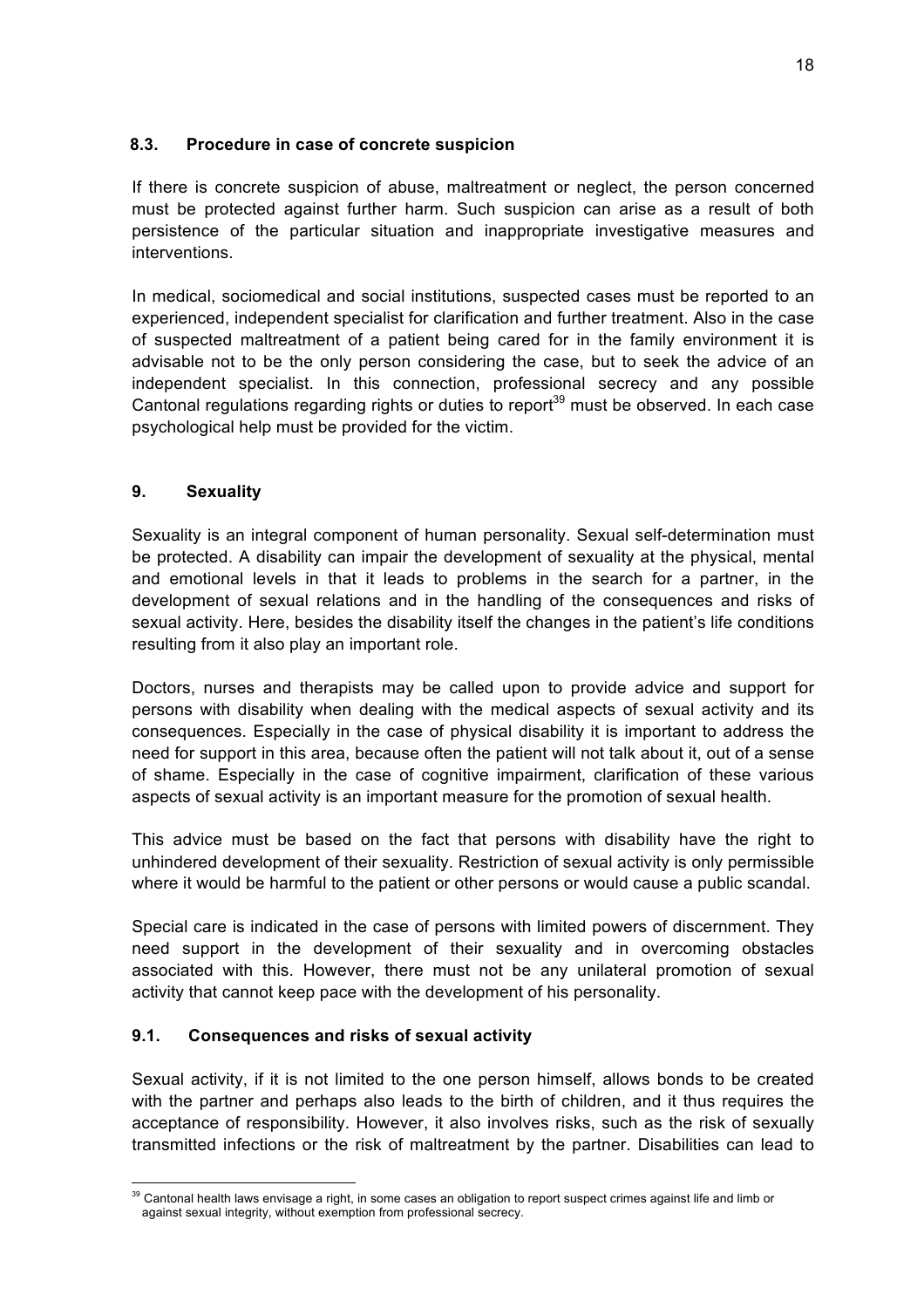### **8.3. Procedure in case of concrete suspicion**

If there is concrete suspicion of abuse, maltreatment or neglect, the person concerned must be protected against further harm. Such suspicion can arise as a result of both persistence of the particular situation and inappropriate investigative measures and interventions.

In medical, sociomedical and social institutions, suspected cases must be reported to an experienced, independent specialist for clarification and further treatment. Also in the case of suspected maltreatment of a patient being cared for in the family environment it is advisable not to be the only person considering the case, but to seek the advice of an independent specialist. In this connection, professional secrecy and any possible Cantonal regulations regarding rights or duties to report<sup>39</sup> must be observed. In each case psychological help must be provided for the victim.

### **9. Sexuality**

Sexuality is an integral component of human personality. Sexual self-determination must be protected. A disability can impair the development of sexuality at the physical, mental and emotional levels in that it leads to problems in the search for a partner, in the development of sexual relations and in the handling of the consequences and risks of sexual activity. Here, besides the disability itself the changes in the patient's life conditions resulting from it also play an important role.

Doctors, nurses and therapists may be called upon to provide advice and support for persons with disability when dealing with the medical aspects of sexual activity and its consequences. Especially in the case of physical disability it is important to address the need for support in this area, because often the patient will not talk about it, out of a sense of shame. Especially in the case of cognitive impairment, clarification of these various aspects of sexual activity is an important measure for the promotion of sexual health.

This advice must be based on the fact that persons with disability have the right to unhindered development of their sexuality. Restriction of sexual activity is only permissible where it would be harmful to the patient or other persons or would cause a public scandal.

Special care is indicated in the case of persons with limited powers of discernment. They need support in the development of their sexuality and in overcoming obstacles associated with this. However, there must not be any unilateral promotion of sexual activity that cannot keep pace with the development of his personality.

#### **9.1. Consequences and risks of sexual activity**

Sexual activity, if it is not limited to the one person himself, allows bonds to be created with the partner and perhaps also leads to the birth of children, and it thus requires the acceptance of responsibility. However, it also involves risks, such as the risk of sexually transmitted infections or the risk of maltreatment by the partner. Disabilities can lead to

<sup>&</sup>lt;sup>39</sup> Cantonal health laws envisage a right, in some cases an obligation to report suspect crimes against life and limb or against sexual integrity, without exemption from professional secrecy.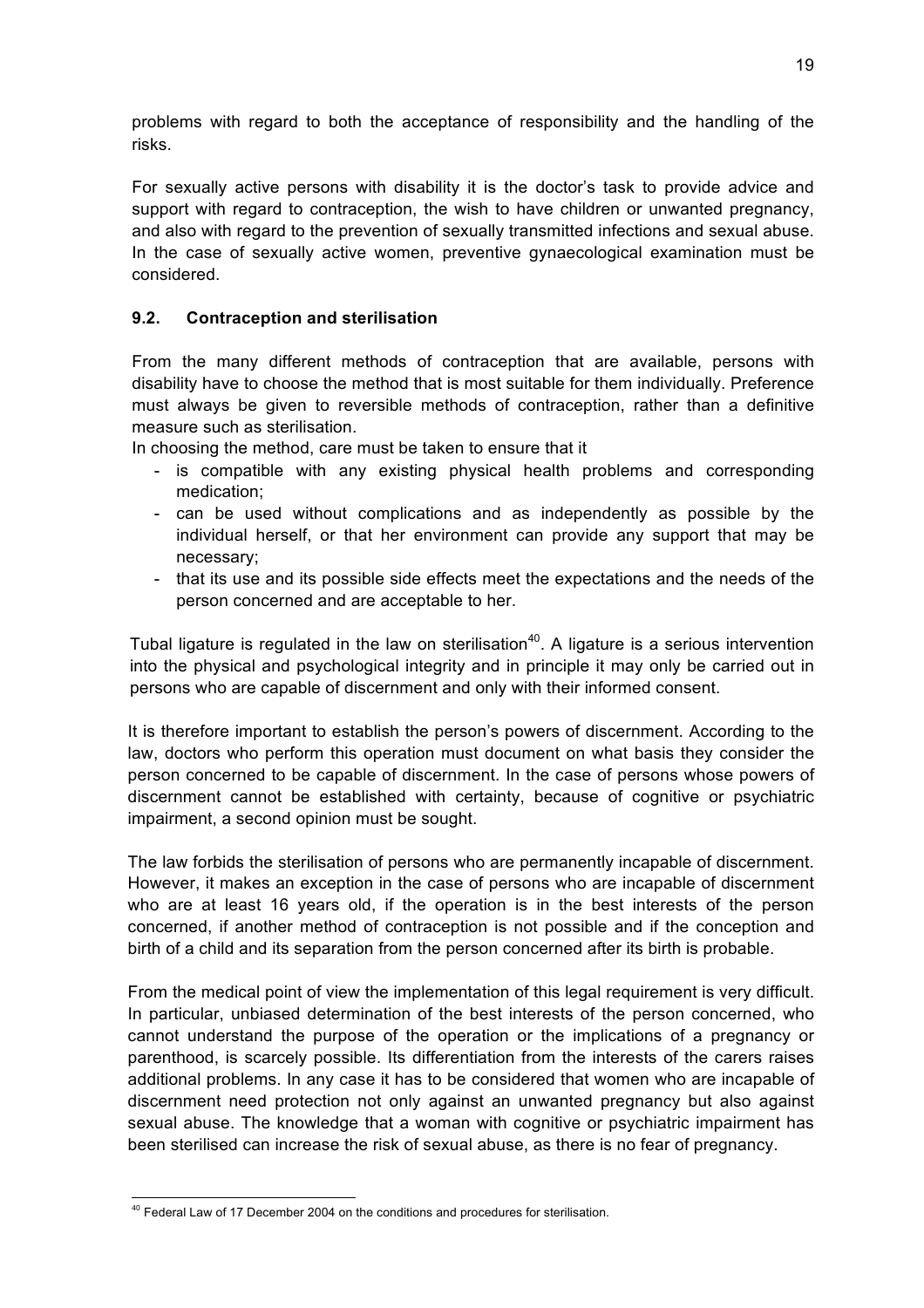problems with regard to both the acceptance of responsibility and the handling of the risks.

For sexually active persons with disability it is the doctor's task to provide advice and support with regard to contraception, the wish to have children or unwanted pregnancy, and also with regard to the prevention of sexually transmitted infections and sexual abuse. In the case of sexually active women, preventive gynaecological examination must be considered.

### **9.2. Contraception and sterilisation**

From the many different methods of contraception that are available, persons with disability have to choose the method that is most suitable for them individually. Preference must always be given to reversible methods of contraception, rather than a definitive measure such as sterilisation.

In choosing the method, care must be taken to ensure that it

- is compatible with any existing physical health problems and corresponding medication;
- can be used without complications and as independently as possible by the individual herself, or that her environment can provide any support that may be necessary;
- that its use and its possible side effects meet the expectations and the needs of the person concerned and are acceptable to her.

Tubal ligature is regulated in the law on sterilisation<sup>40</sup>. A ligature is a serious intervention into the physical and psychological integrity and in principle it may only be carried out in persons who are capable of discernment and only with their informed consent.

It is therefore important to establish the person's powers of discernment. According to the law, doctors who perform this operation must document on what basis they consider the person concerned to be capable of discernment. In the case of persons whose powers of discernment cannot be established with certainty, because of cognitive or psychiatric impairment, a second opinion must be sought.

The law forbids the sterilisation of persons who are permanently incapable of discernment. However, it makes an exception in the case of persons who are incapable of discernment who are at least 16 years old, if the operation is in the best interests of the person concerned, if another method of contraception is not possible and if the conception and birth of a child and its separation from the person concerned after its birth is probable.

From the medical point of view the implementation of this legal requirement is very difficult. In particular, unbiased determination of the best interests of the person concerned, who cannot understand the purpose of the operation or the implications of a pregnancy or parenthood, is scarcely possible. Its differentiation from the interests of the carers raises additional problems. In any case it has to be considered that women who are incapable of discernment need protection not only against an unwanted pregnancy but also against sexual abuse. The knowledge that a woman with cognitive or psychiatric impairment has been sterilised can increase the risk of sexual abuse, as there is no fear of pregnancy.

 $40$  Federal Law of 17 December 2004 on the conditions and procedures for sterilisation.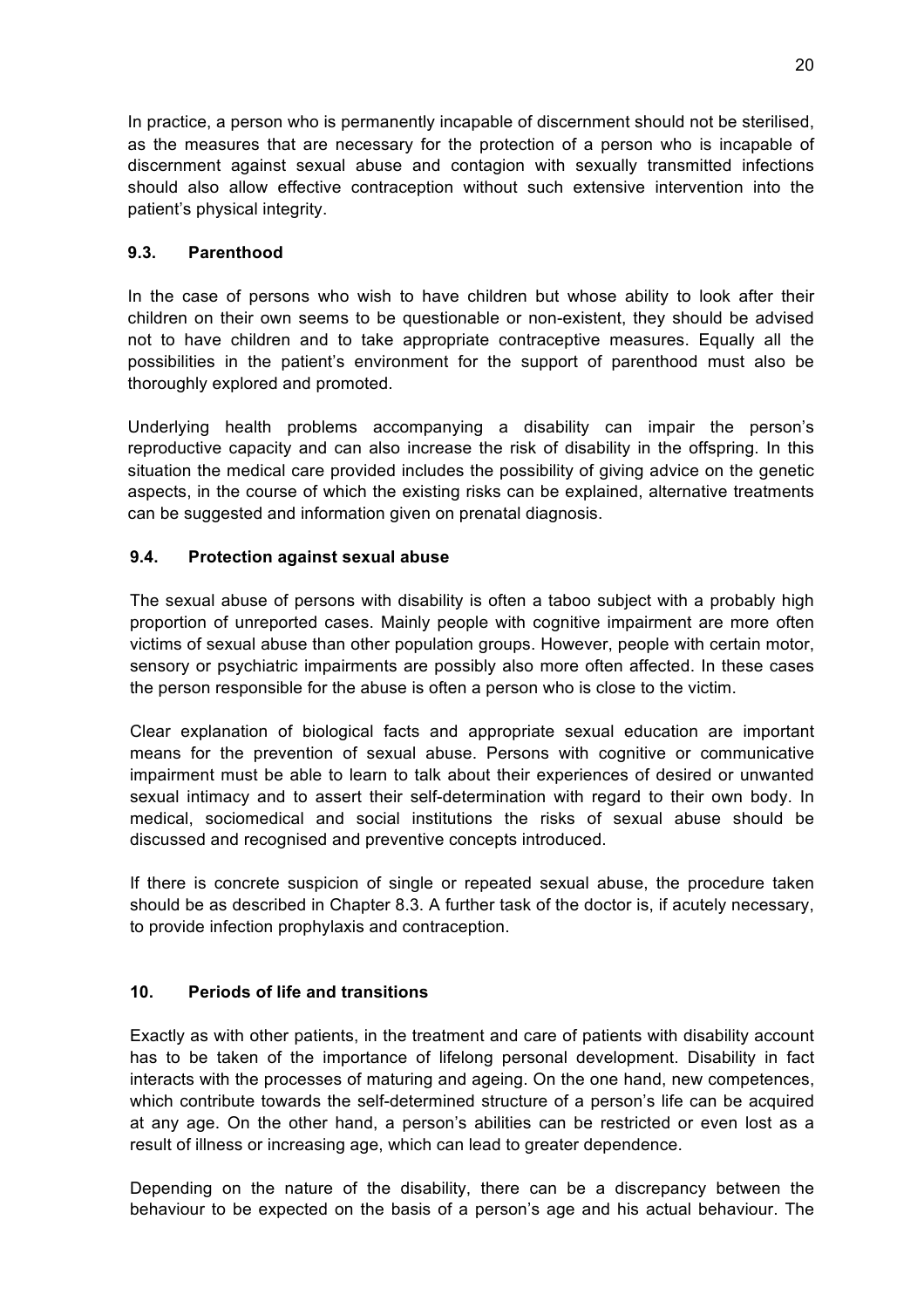In practice, a person who is permanently incapable of discernment should not be sterilised, as the measures that are necessary for the protection of a person who is incapable of discernment against sexual abuse and contagion with sexually transmitted infections should also allow effective contraception without such extensive intervention into the patient's physical integrity.

#### **9.3. Parenthood**

In the case of persons who wish to have children but whose ability to look after their children on their own seems to be questionable or non-existent, they should be advised not to have children and to take appropriate contraceptive measures. Equally all the possibilities in the patient's environment for the support of parenthood must also be thoroughly explored and promoted.

Underlying health problems accompanying a disability can impair the person's reproductive capacity and can also increase the risk of disability in the offspring. In this situation the medical care provided includes the possibility of giving advice on the genetic aspects, in the course of which the existing risks can be explained, alternative treatments can be suggested and information given on prenatal diagnosis.

### **9.4. Protection against sexual abuse**

The sexual abuse of persons with disability is often a taboo subject with a probably high proportion of unreported cases. Mainly people with cognitive impairment are more often victims of sexual abuse than other population groups. However, people with certain motor, sensory or psychiatric impairments are possibly also more often affected. In these cases the person responsible for the abuse is often a person who is close to the victim.

Clear explanation of biological facts and appropriate sexual education are important means for the prevention of sexual abuse. Persons with cognitive or communicative impairment must be able to learn to talk about their experiences of desired or unwanted sexual intimacy and to assert their self-determination with regard to their own body. In medical, sociomedical and social institutions the risks of sexual abuse should be discussed and recognised and preventive concepts introduced.

If there is concrete suspicion of single or repeated sexual abuse, the procedure taken should be as described in Chapter 8.3. A further task of the doctor is, if acutely necessary, to provide infection prophylaxis and contraception.

#### **10. Periods of life and transitions**

Exactly as with other patients, in the treatment and care of patients with disability account has to be taken of the importance of lifelong personal development. Disability in fact interacts with the processes of maturing and ageing. On the one hand, new competences, which contribute towards the self-determined structure of a person's life can be acquired at any age. On the other hand, a person's abilities can be restricted or even lost as a result of illness or increasing age, which can lead to greater dependence.

Depending on the nature of the disability, there can be a discrepancy between the behaviour to be expected on the basis of a person's age and his actual behaviour. The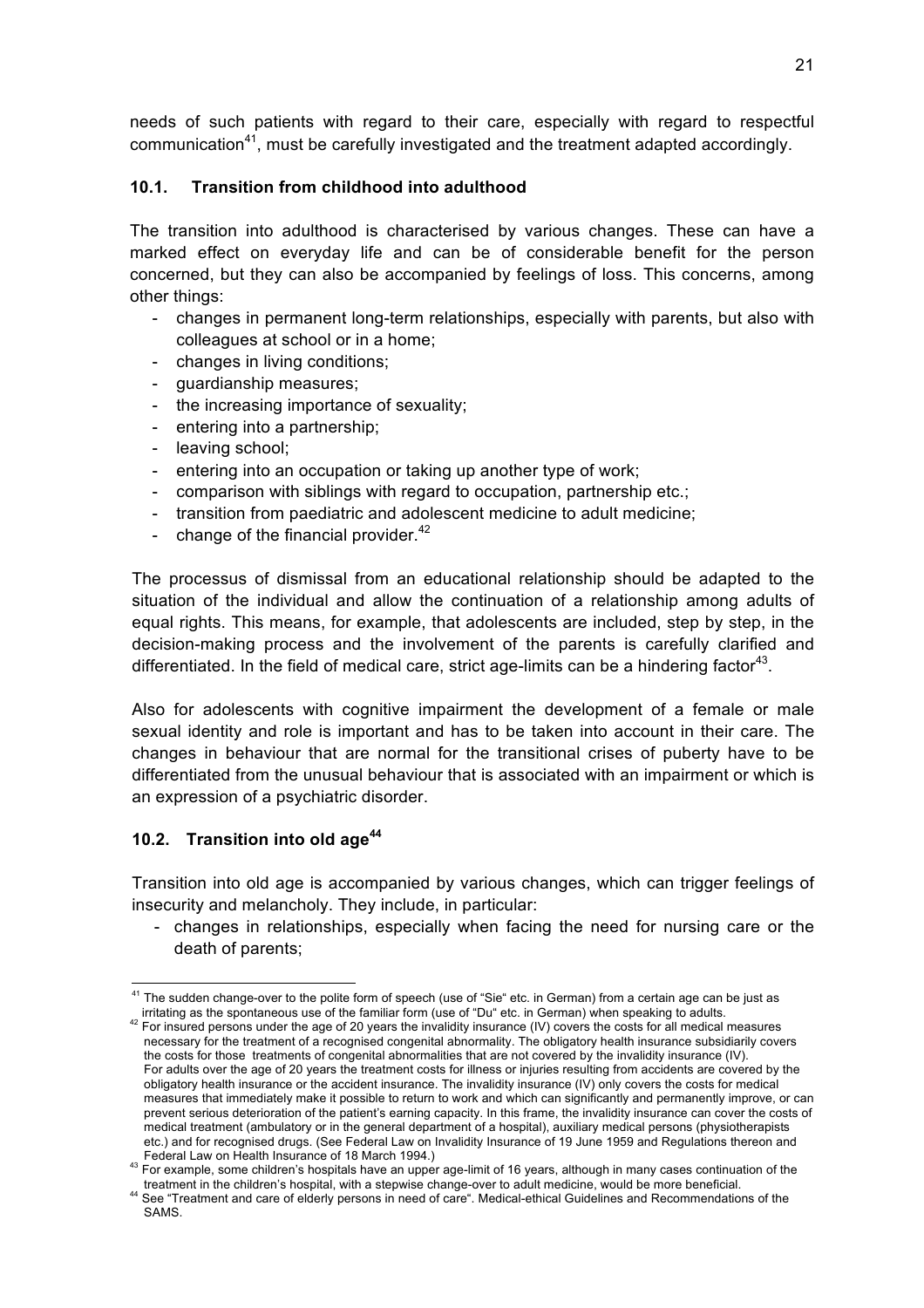needs of such patients with regard to their care, especially with regard to respectful communication<sup>41</sup>, must be carefully investigated and the treatment adapted accordingly.

### **10.1. Transition from childhood into adulthood**

The transition into adulthood is characterised by various changes. These can have a marked effect on everyday life and can be of considerable benefit for the person concerned, but they can also be accompanied by feelings of loss. This concerns, among other things:

- changes in permanent long-term relationships, especially with parents, but also with colleagues at school or in a home;
- changes in living conditions;
- guardianship measures;
- the increasing importance of sexuality;
- entering into a partnership;
- leaving school;
- entering into an occupation or taking up another type of work;
- comparison with siblings with regard to occupation, partnership etc.;
- transition from paediatric and adolescent medicine to adult medicine;
- change of the financial provider. $42$

The processus of dismissal from an educational relationship should be adapted to the situation of the individual and allow the continuation of a relationship among adults of equal rights. This means, for example, that adolescents are included, step by step, in the decision-making process and the involvement of the parents is carefully clarified and differentiated. In the field of medical care, strict age-limits can be a hindering factor<sup>43</sup>.

Also for adolescents with cognitive impairment the development of a female or male sexual identity and role is important and has to be taken into account in their care. The changes in behaviour that are normal for the transitional crises of puberty have to be differentiated from the unusual behaviour that is associated with an impairment or which is an expression of a psychiatric disorder.

## **10.2. Transition into old age<sup>44</sup>**

Transition into old age is accompanied by various changes, which can trigger feelings of insecurity and melancholy. They include, in particular:

- changes in relationships, especially when facing the need for nursing care or the death of parents;

<sup>&</sup>lt;sup>41</sup> The sudden change-over to the polite form of speech (use of "Sie" etc. in German) from a certain age can be just as<br>irritating as the spontaneous use of the familiar form (use of "Du" etc. in German) when speaking to

<sup>&</sup>lt;sup>42</sup> For insured persons under the age of 20 years the invalidity insurance (IV) covers the costs for all medical measures necessary for the treatment of a recognised congenital abnormality. The obligatory health insurance subsidiarily covers the costs for those treatments of congenital abnormalities that are not covered by the invalidity insurance (IV). For adults over the age of 20 years the treatment costs for illness or injuries resulting from accidents are covered by the obligatory health insurance or the accident insurance. The invalidity insurance (IV) only covers the costs for medical measures that immediately make it possible to return to work and which can significantly and permanently improve, or can prevent serious deterioration of the patient's earning capacity. In this frame, the invalidity insurance can cover the costs of medical treatment (ambulatory or in the general department of a hospital), auxiliary medical persons (physiotherapists etc.) and for recognised drugs. (See Federal Law on Invalidity Insurance of 19 June 1959 and Regulations thereon and

Federal Law on Health Insurance of 18 March 1994.)<br><sup>43</sup> For example, some children's hospitals have an upper age-limit of 16 years, although in many cases continuation of the

treatment in the children's hospital, with a stepwise change-over to adult medicine, would be more beneficial.<br><sup>44</sup> See "Treatment and care of elderly persons in need of care". Medical-ethical Guidelines and Recommendation SAMS.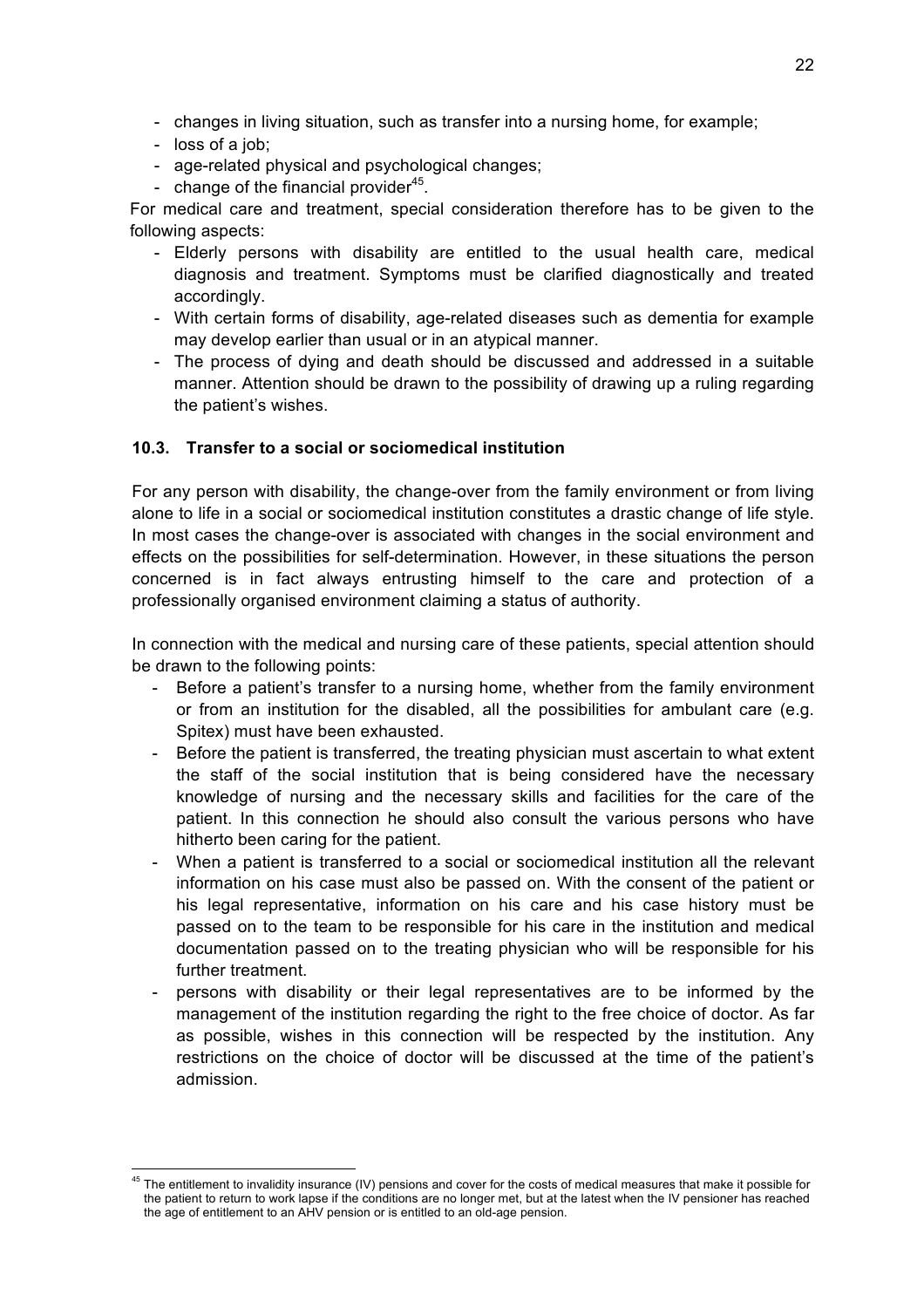- changes in living situation, such as transfer into a nursing home, for example;
- loss of a job;
- age-related physical and psychological changes;
- change of the financial provider $45$ .

For medical care and treatment, special consideration therefore has to be given to the following aspects:

- Elderly persons with disability are entitled to the usual health care, medical diagnosis and treatment. Symptoms must be clarified diagnostically and treated accordingly.
- With certain forms of disability, age-related diseases such as dementia for example may develop earlier than usual or in an atypical manner.
- The process of dying and death should be discussed and addressed in a suitable manner. Attention should be drawn to the possibility of drawing up a ruling regarding the patient's wishes.

#### **10.3. Transfer to a social or sociomedical institution**

For any person with disability, the change-over from the family environment or from living alone to life in a social or sociomedical institution constitutes a drastic change of life style. In most cases the change-over is associated with changes in the social environment and effects on the possibilities for self-determination. However, in these situations the person concerned is in fact always entrusting himself to the care and protection of a professionally organised environment claiming a status of authority.

In connection with the medical and nursing care of these patients, special attention should be drawn to the following points:

- Before a patient's transfer to a nursing home, whether from the family environment or from an institution for the disabled, all the possibilities for ambulant care (e.g. Spitex) must have been exhausted.
- Before the patient is transferred, the treating physician must ascertain to what extent the staff of the social institution that is being considered have the necessary knowledge of nursing and the necessary skills and facilities for the care of the patient. In this connection he should also consult the various persons who have hitherto been caring for the patient.
- When a patient is transferred to a social or sociomedical institution all the relevant information on his case must also be passed on. With the consent of the patient or his legal representative, information on his care and his case history must be passed on to the team to be responsible for his care in the institution and medical documentation passed on to the treating physician who will be responsible for his further treatment.
- persons with disability or their legal representatives are to be informed by the management of the institution regarding the right to the free choice of doctor. As far as possible, wishes in this connection will be respected by the institution. Any restrictions on the choice of doctor will be discussed at the time of the patient's admission.

<sup>&</sup>lt;sup>45</sup> The entitlement to invalidity insurance (IV) pensions and cover for the costs of medical measures that make it possible for the patient to return to work lapse if the conditions are no longer met, but at the latest when the IV pensioner has reached the age of entitlement to an AHV pension or is entitled to an old-age pension.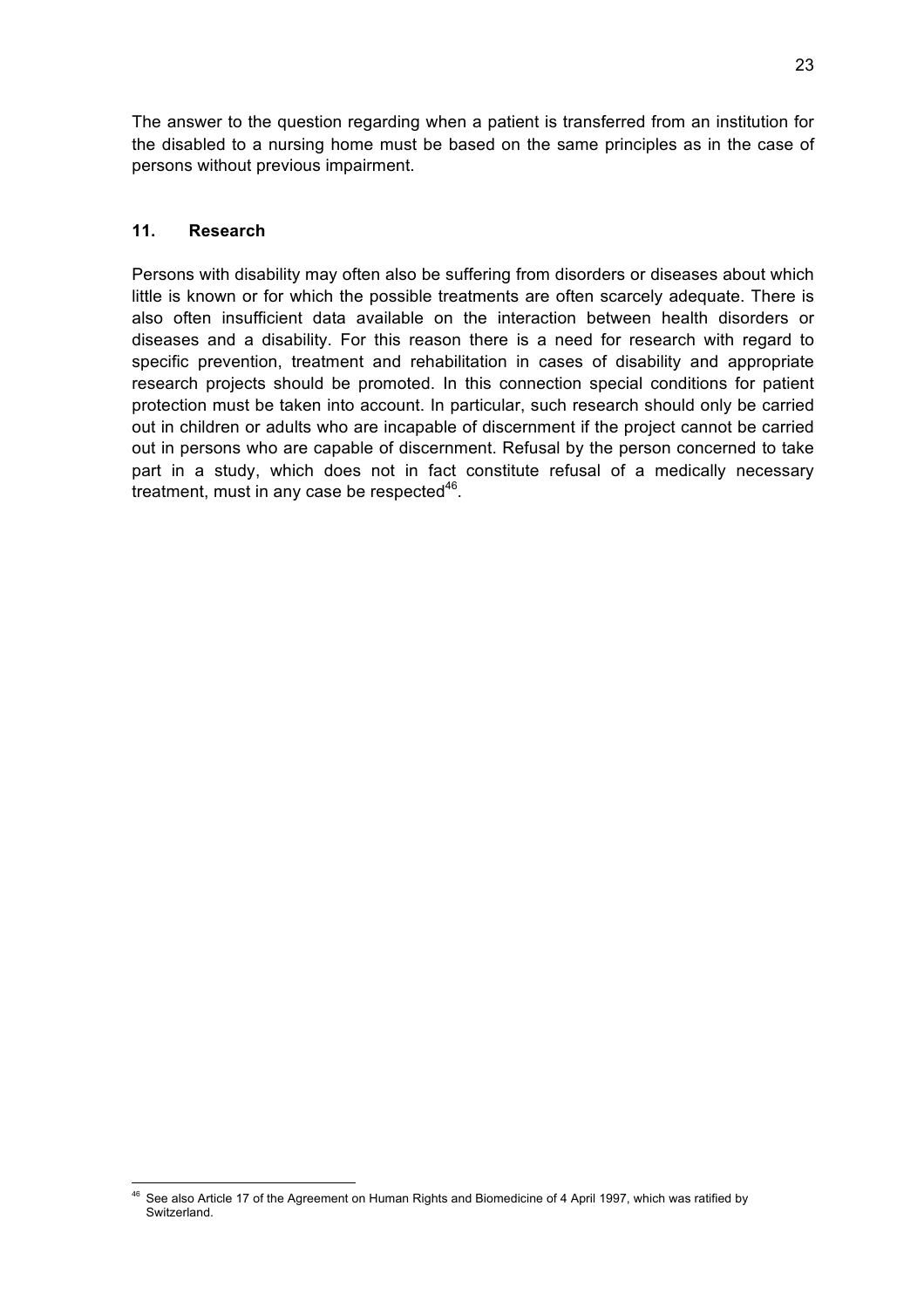The answer to the question regarding when a patient is transferred from an institution for the disabled to a nursing home must be based on the same principles as in the case of persons without previous impairment.

#### **11. Research**

Persons with disability may often also be suffering from disorders or diseases about which little is known or for which the possible treatments are often scarcely adequate. There is also often insufficient data available on the interaction between health disorders or diseases and a disability. For this reason there is a need for research with regard to specific prevention, treatment and rehabilitation in cases of disability and appropriate research projects should be promoted. In this connection special conditions for patient protection must be taken into account. In particular, such research should only be carried out in children or adults who are incapable of discernment if the project cannot be carried out in persons who are capable of discernment. Refusal by the person concerned to take part in a study, which does not in fact constitute refusal of a medically necessary treatment, must in any case be respected $46$ .

See also Article 17 of the Agreement on Human Rights and Biomedicine of 4 April 1997, which was ratified by Switzerland.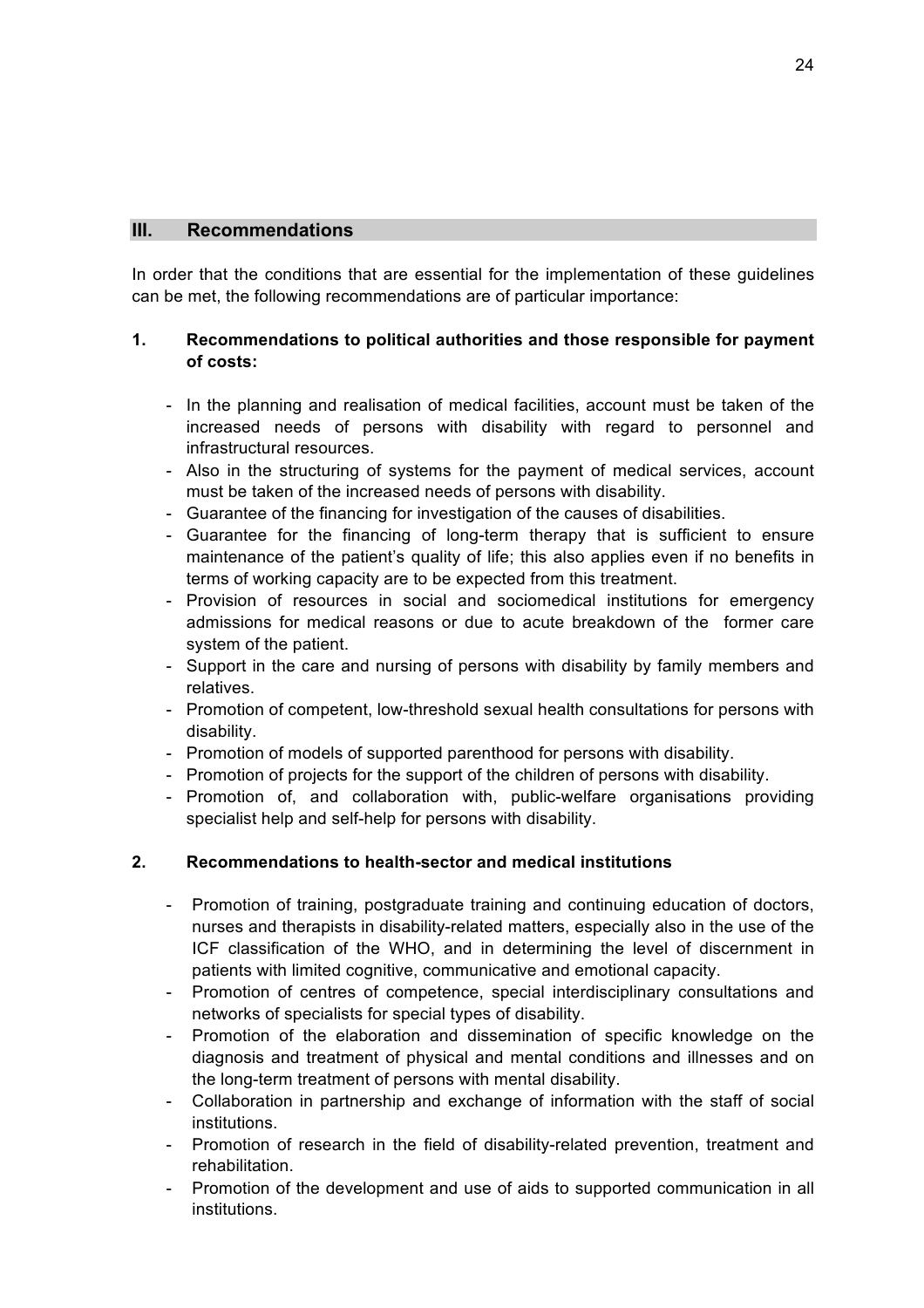#### **III. Recommendations**

In order that the conditions that are essential for the implementation of these guidelines can be met, the following recommendations are of particular importance:

#### **1. Recommendations to political authorities and those responsible for payment of costs:**

- In the planning and realisation of medical facilities, account must be taken of the increased needs of persons with disability with regard to personnel and infrastructural resources.
- Also in the structuring of systems for the payment of medical services, account must be taken of the increased needs of persons with disability.
- Guarantee of the financing for investigation of the causes of disabilities.
- Guarantee for the financing of long-term therapy that is sufficient to ensure maintenance of the patient's quality of life; this also applies even if no benefits in terms of working capacity are to be expected from this treatment.
- Provision of resources in social and sociomedical institutions for emergency admissions for medical reasons or due to acute breakdown of the former care system of the patient.
- Support in the care and nursing of persons with disability by family members and relatives.
- Promotion of competent, low-threshold sexual health consultations for persons with disability.
- Promotion of models of supported parenthood for persons with disability.
- Promotion of projects for the support of the children of persons with disability.
- Promotion of, and collaboration with, public-welfare organisations providing specialist help and self-help for persons with disability.

#### **2. Recommendations to health-sector and medical institutions**

- Promotion of training, postgraduate training and continuing education of doctors, nurses and therapists in disability-related matters, especially also in the use of the ICF classification of the WHO, and in determining the level of discernment in patients with limited cognitive, communicative and emotional capacity.
- Promotion of centres of competence, special interdisciplinary consultations and networks of specialists for special types of disability.
- Promotion of the elaboration and dissemination of specific knowledge on the diagnosis and treatment of physical and mental conditions and illnesses and on the long-term treatment of persons with mental disability.
- Collaboration in partnership and exchange of information with the staff of social institutions.
- Promotion of research in the field of disability-related prevention, treatment and rehabilitation.
- Promotion of the development and use of aids to supported communication in all institutions.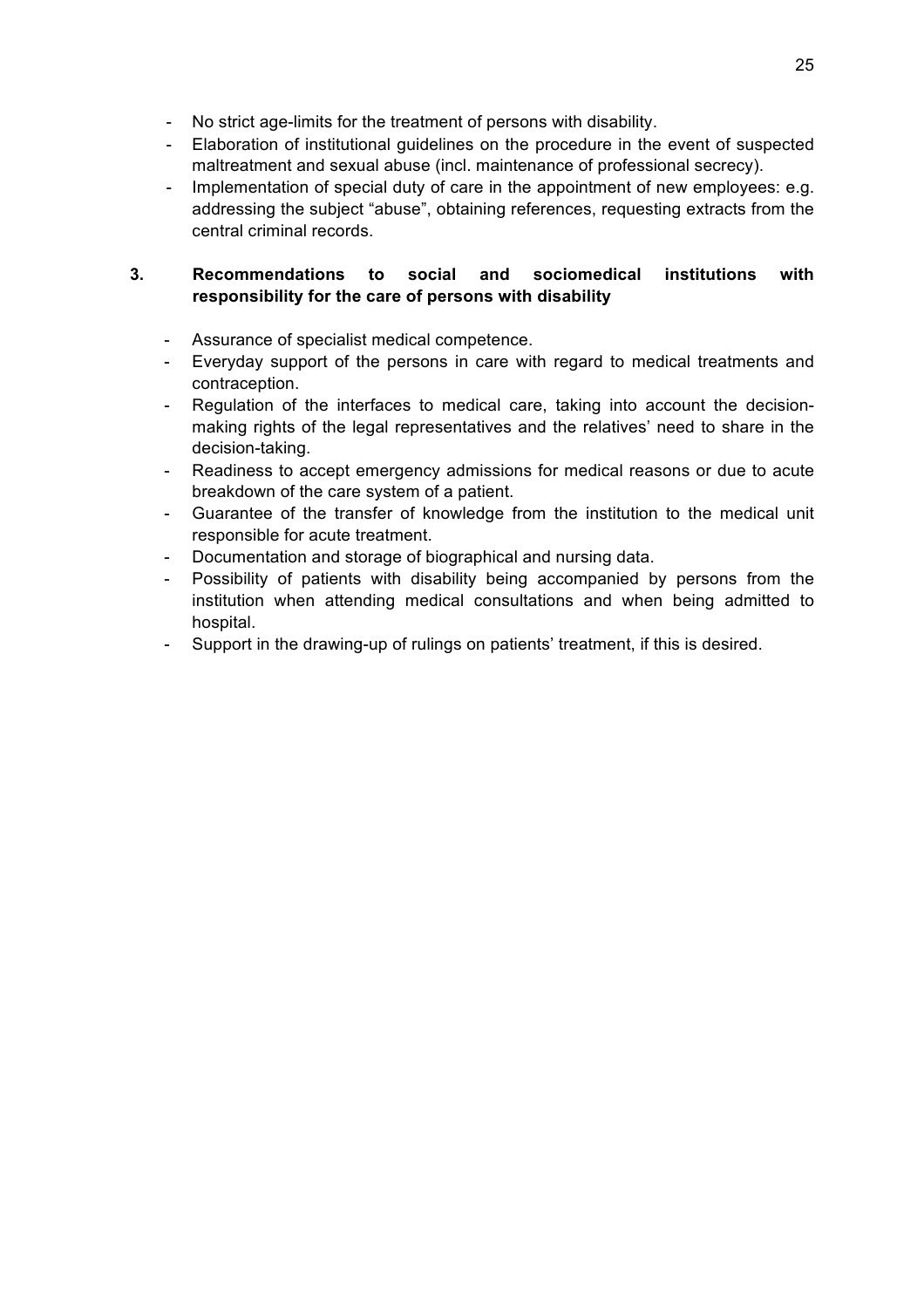- No strict age-limits for the treatment of persons with disability.
- Elaboration of institutional guidelines on the procedure in the event of suspected maltreatment and sexual abuse (incl. maintenance of professional secrecy).
- Implementation of special duty of care in the appointment of new employees: e.g. addressing the subject "abuse", obtaining references, requesting extracts from the central criminal records.

### **3. Recommendations to social and sociomedical institutions with responsibility for the care of persons with disability**

- Assurance of specialist medical competence.
- Everyday support of the persons in care with regard to medical treatments and contraception.
- Regulation of the interfaces to medical care, taking into account the decisionmaking rights of the legal representatives and the relatives' need to share in the decision-taking.
- Readiness to accept emergency admissions for medical reasons or due to acute breakdown of the care system of a patient.
- Guarantee of the transfer of knowledge from the institution to the medical unit responsible for acute treatment.
- Documentation and storage of biographical and nursing data.
- Possibility of patients with disability being accompanied by persons from the institution when attending medical consultations and when being admitted to hospital.
- Support in the drawing-up of rulings on patients' treatment, if this is desired.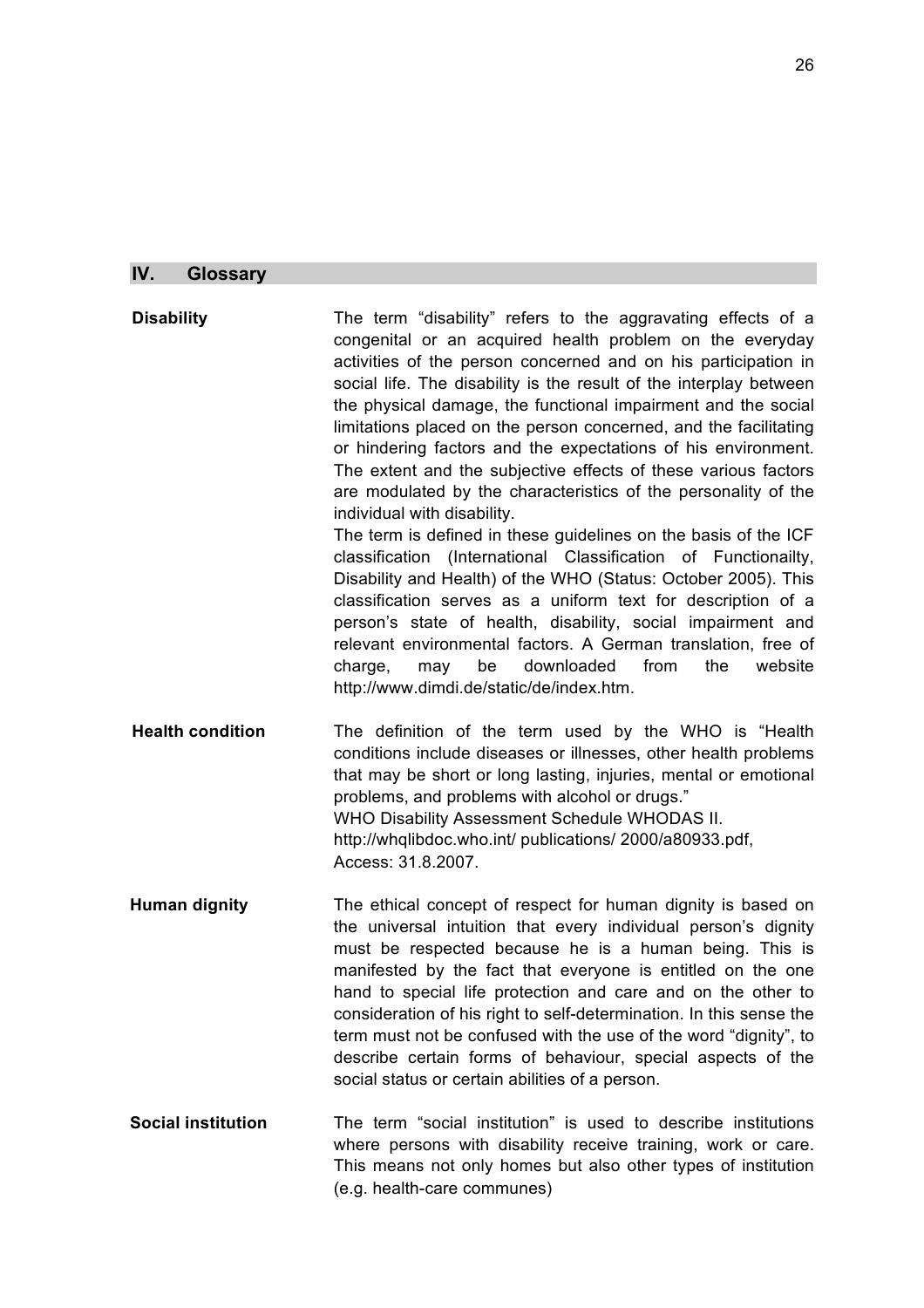# **IV. Glossary**

| <b>Disability</b>         | The term "disability" refers to the aggravating effects of a<br>congenital or an acquired health problem on the everyday<br>activities of the person concerned and on his participation in<br>social life. The disability is the result of the interplay between<br>the physical damage, the functional impairment and the social<br>limitations placed on the person concerned, and the facilitating<br>or hindering factors and the expectations of his environment.<br>The extent and the subjective effects of these various factors<br>are modulated by the characteristics of the personality of the<br>individual with disability.<br>The term is defined in these guidelines on the basis of the ICF<br>classification (International Classification of Functionailty,<br>Disability and Health) of the WHO (Status: October 2005). This<br>classification serves as a uniform text for description of a<br>person's state of health, disability, social impairment and<br>relevant environmental factors. A German translation, free of<br>from<br>downloaded<br>the<br>charge,<br>be<br>website<br>may<br>http://www.dimdi.de/static/de/index.htm. |
|---------------------------|--------------------------------------------------------------------------------------------------------------------------------------------------------------------------------------------------------------------------------------------------------------------------------------------------------------------------------------------------------------------------------------------------------------------------------------------------------------------------------------------------------------------------------------------------------------------------------------------------------------------------------------------------------------------------------------------------------------------------------------------------------------------------------------------------------------------------------------------------------------------------------------------------------------------------------------------------------------------------------------------------------------------------------------------------------------------------------------------------------------------------------------------------------------|
| <b>Health condition</b>   | The definition of the term used by the WHO is "Health<br>conditions include diseases or illnesses, other health problems<br>that may be short or long lasting, injuries, mental or emotional<br>problems, and problems with alcohol or drugs."<br>WHO Disability Assessment Schedule WHODAS II.<br>http://whqlibdoc.who.int/ publications/ 2000/a80933.pdf,<br>Access: 31.8.2007.                                                                                                                                                                                                                                                                                                                                                                                                                                                                                                                                                                                                                                                                                                                                                                            |
| <b>Human dignity</b>      | The ethical concept of respect for human dignity is based on<br>the universal intuition that every individual person's dignity<br>must be respected because he is a human being. This is<br>manifested by the fact that everyone is entitled on the one<br>hand to special life protection and care and on the other to<br>consideration of his right to self-determination. In this sense the<br>term must not be confused with the use of the word "dignity", to<br>describe certain forms of behaviour, special aspects of the<br>social status or certain abilities of a person.                                                                                                                                                                                                                                                                                                                                                                                                                                                                                                                                                                         |
| <b>Social institution</b> | The term "social institution" is used to describe institutions<br>where persons with disability receive training, work or care.<br>This means not only homes but also other types of institution<br>(e.g. health-care communes)                                                                                                                                                                                                                                                                                                                                                                                                                                                                                                                                                                                                                                                                                                                                                                                                                                                                                                                              |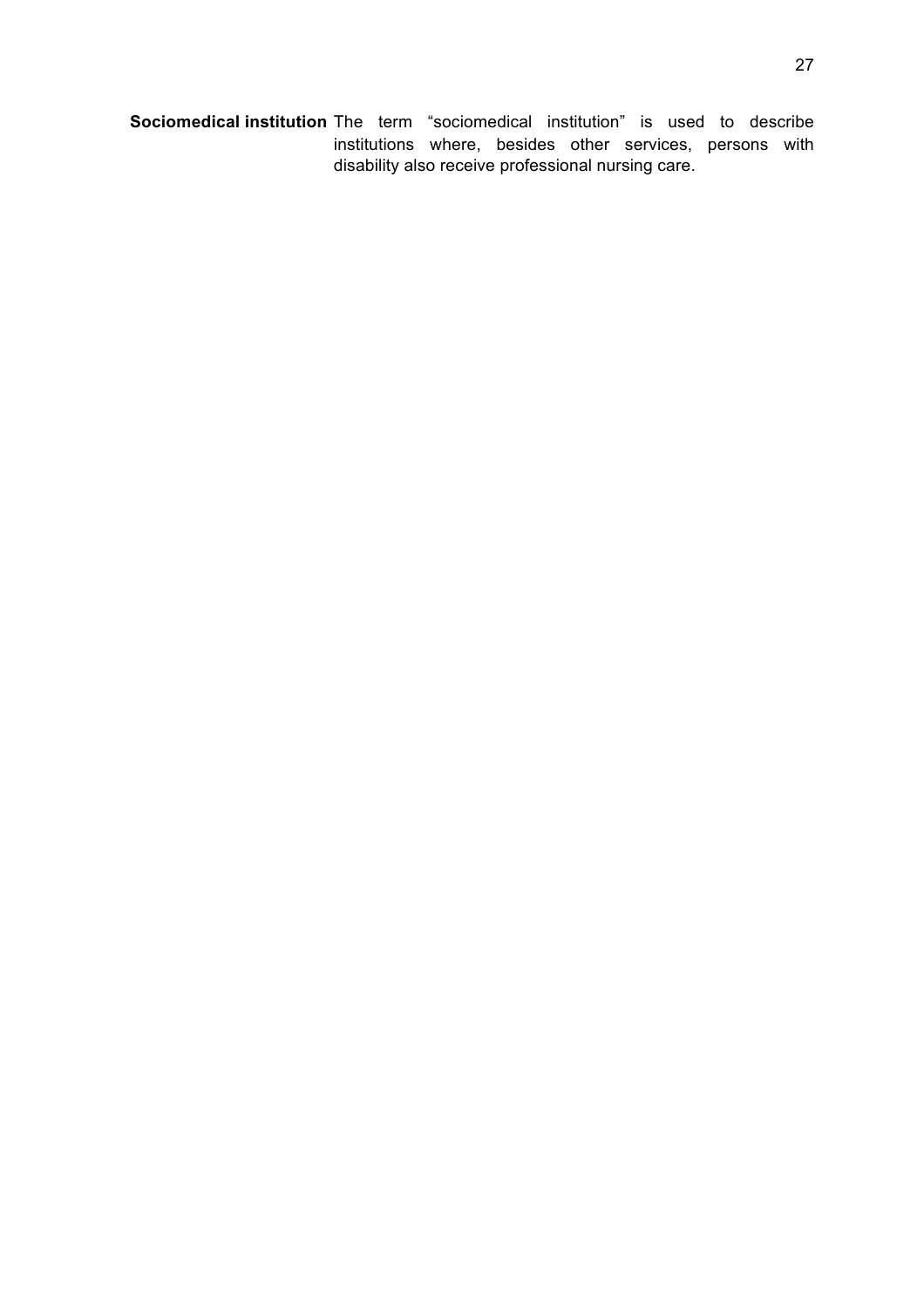**Sociomedical institution** The term "sociomedical institution" is used to describe institutions where, besides other services, persons with disability also receive professional nursing care.